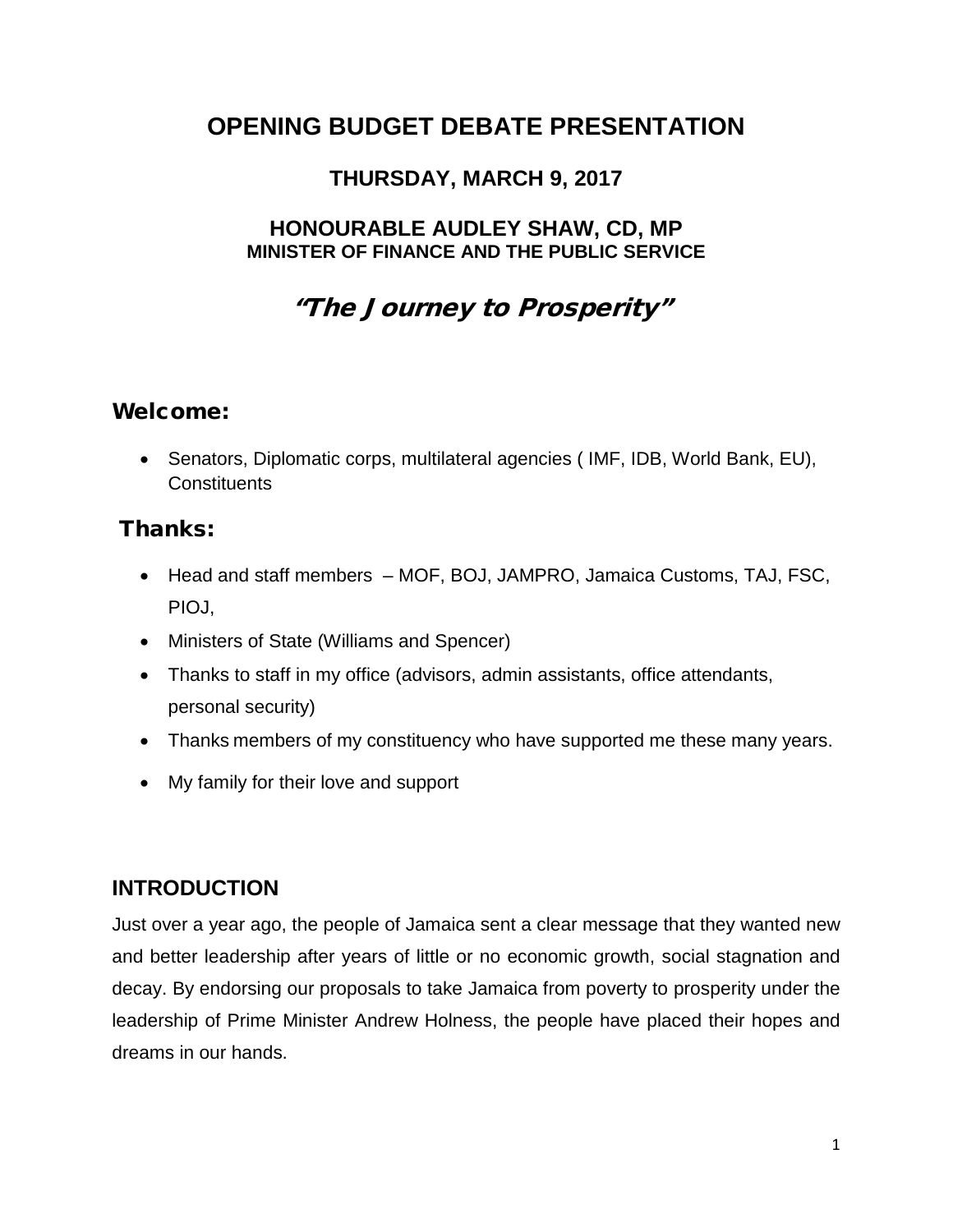# **OPENING BUDGET DEBATE PRESENTATION**

# **THURSDAY, MARCH 9, 2017**

### **HONOURABLE AUDLEY SHAW, CD, MP MINISTER OF FINANCE AND THE PUBLIC SERVICE**

# "The Journey to Prosperity"

### Welcome:

• Senators, Diplomatic corps, multilateral agencies ( IMF, IDB, World Bank, EU), **Constituents** 

# Thanks:

- Head and staff members MOF, BOJ, JAMPRO, Jamaica Customs, TAJ, FSC, PIOJ,
- Ministers of State (Williams and Spencer)
- Thanks to staff in my office (advisors, admin assistants, office attendants, personal security)
- Thanks members of my constituency who have supported me these many years.
- My family for their love and support

# **INTRODUCTION**

Just over a year ago, the people of Jamaica sent a clear message that they wanted new and better leadership after years of little or no economic growth, social stagnation and decay. By endorsing our proposals to take Jamaica from poverty to prosperity under the leadership of Prime Minister Andrew Holness, the people have placed their hopes and dreams in our hands.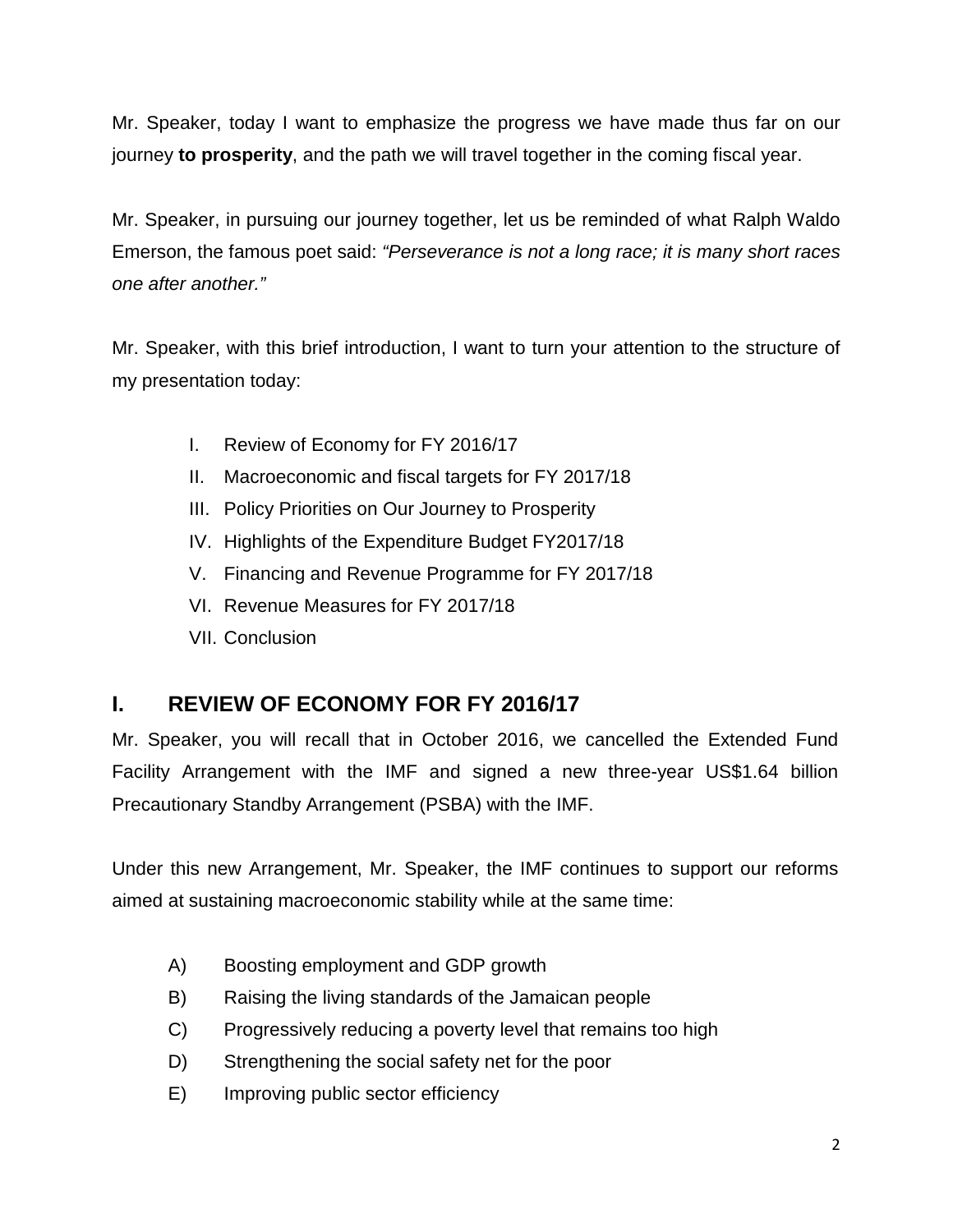Mr. Speaker, today I want to emphasize the progress we have made thus far on our journey **to prosperity**, and the path we will travel together in the coming fiscal year.

Mr. Speaker, in pursuing our journey together, let us be reminded of what Ralph Waldo Emerson, the famous poet said: *"Perseverance is not a long race; it is many short races one after another."*

Mr. Speaker, with this brief introduction, I want to turn your attention to the structure of my presentation today:

- I. Review of Economy for FY 2016/17
- II. Macroeconomic and fiscal targets for FY 2017/18
- III. Policy Priorities on Our Journey to Prosperity
- IV. Highlights of the Expenditure Budget FY2017/18
- V. Financing and Revenue Programme for FY 2017/18
- VI. Revenue Measures for FY 2017/18
- VII. Conclusion

### **I. REVIEW OF ECONOMY FOR FY 2016/17**

Mr. Speaker, you will recall that in October 2016, we cancelled the Extended Fund Facility Arrangement with the IMF and signed a new three-year US\$1.64 billion Precautionary Standby Arrangement (PSBA) with the IMF.

Under this new Arrangement, Mr. Speaker, the IMF continues to support our reforms aimed at sustaining macroeconomic stability while at the same time:

- A) Boosting employment and GDP growth
- B) Raising the living standards of the Jamaican people
- C) Progressively reducing a poverty level that remains too high
- D) Strengthening the social safety net for the poor
- E) Improving public sector efficiency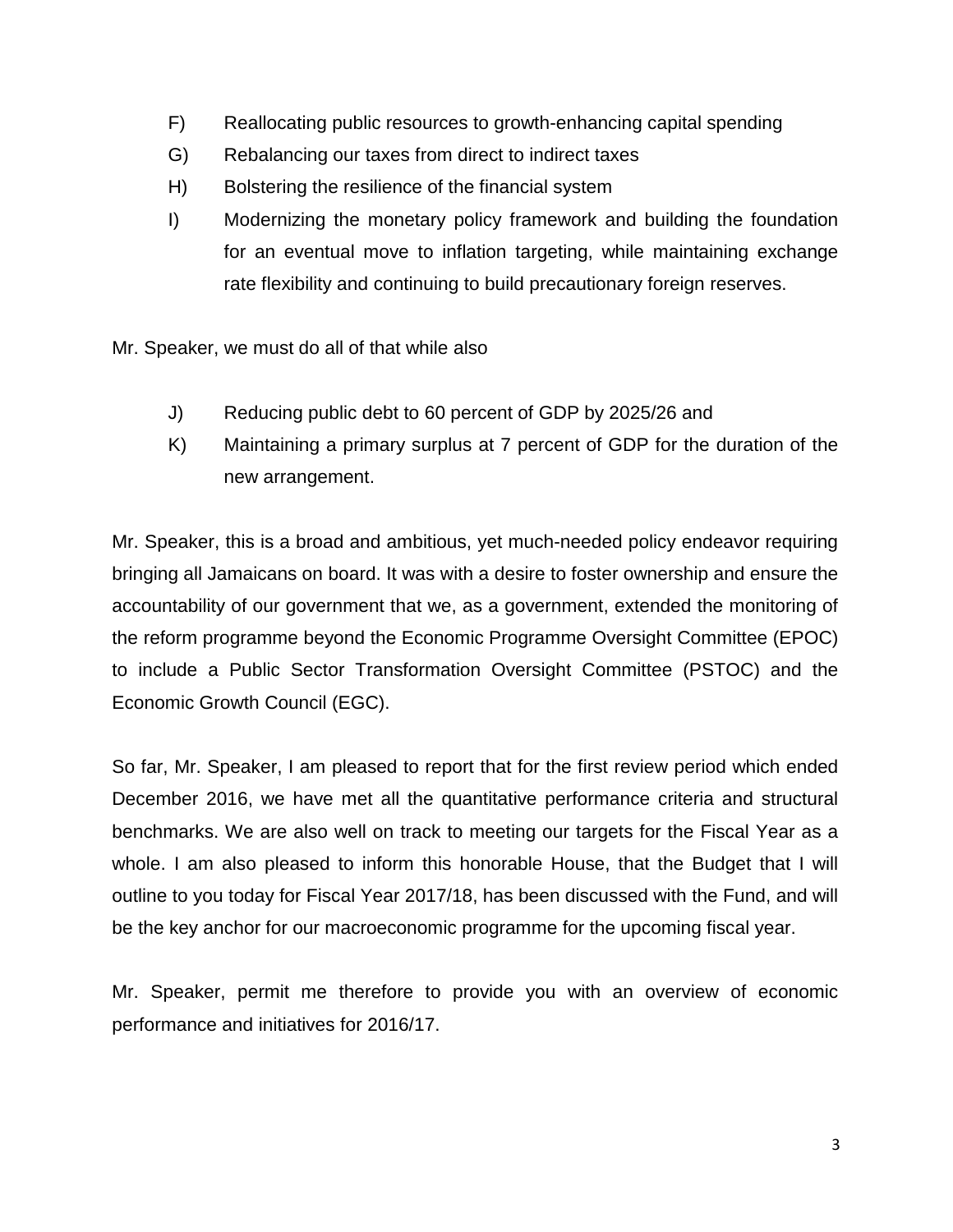- F) Reallocating public resources to growth-enhancing capital spending
- G) Rebalancing our taxes from direct to indirect taxes
- H) Bolstering the resilience of the financial system
- I) Modernizing the monetary policy framework and building the foundation for an eventual move to inflation targeting, while maintaining exchange rate flexibility and continuing to build precautionary foreign reserves.

Mr. Speaker, we must do all of that while also

- J) Reducing public debt to 60 percent of GDP by 2025/26 and
- K) Maintaining a primary surplus at 7 percent of GDP for the duration of the new arrangement.

Mr. Speaker, this is a broad and ambitious, yet much-needed policy endeavor requiring bringing all Jamaicans on board. It was with a desire to foster ownership and ensure the accountability of our government that we, as a government, extended the monitoring of the reform programme beyond the Economic Programme Oversight Committee (EPOC) to include a Public Sector Transformation Oversight Committee (PSTOC) and the Economic Growth Council (EGC).

So far, Mr. Speaker, I am pleased to report that for the first review period which ended December 2016, we have met all the quantitative performance criteria and structural benchmarks. We are also well on track to meeting our targets for the Fiscal Year as a whole. I am also pleased to inform this honorable House, that the Budget that I will outline to you today for Fiscal Year 2017/18, has been discussed with the Fund, and will be the key anchor for our macroeconomic programme for the upcoming fiscal year.

Mr. Speaker, permit me therefore to provide you with an overview of economic performance and initiatives for 2016/17.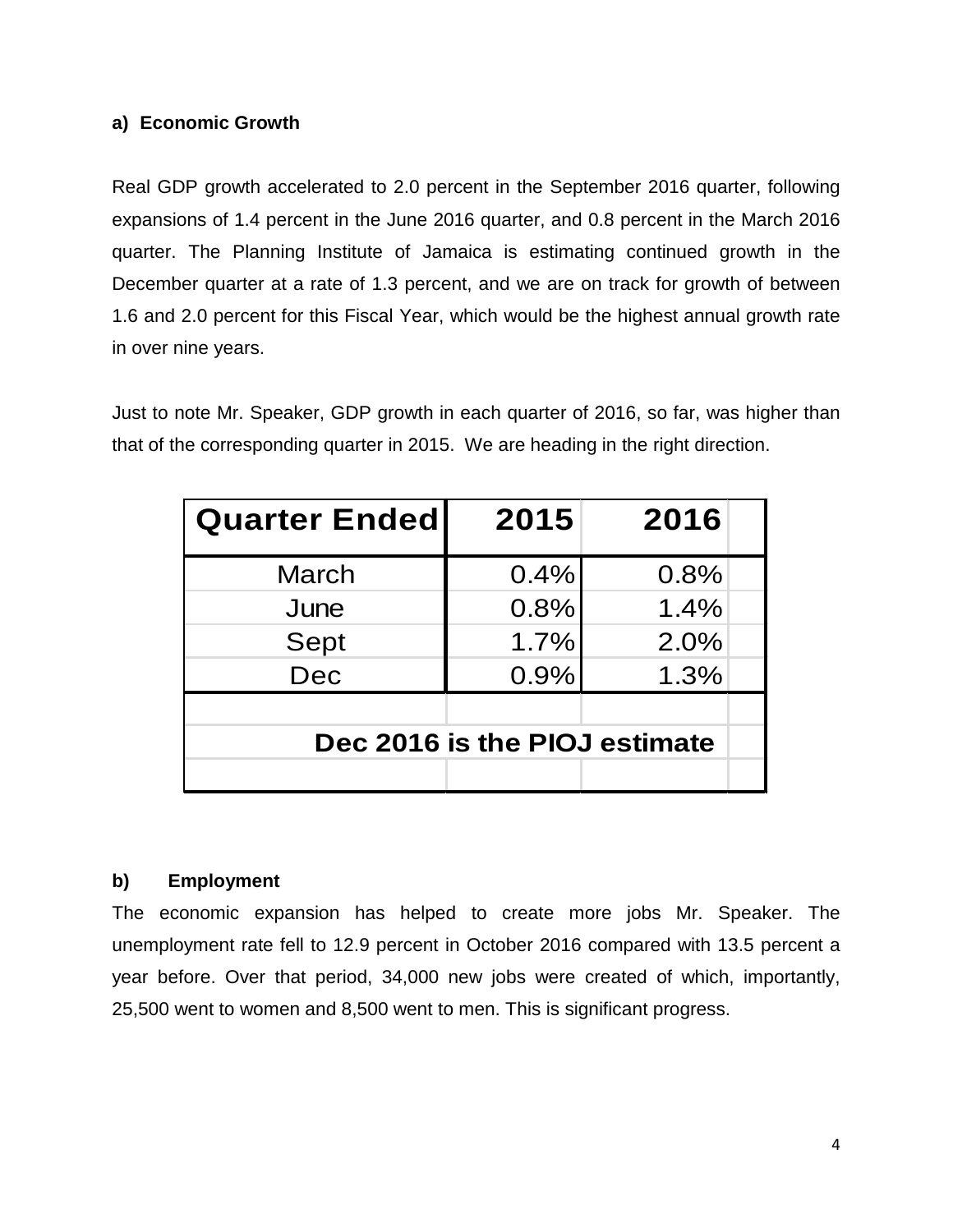### **a) Economic Growth**

Real GDP growth accelerated to 2.0 percent in the September 2016 quarter, following expansions of 1.4 percent in the June 2016 quarter, and 0.8 percent in the March 2016 quarter. The Planning Institute of Jamaica is estimating continued growth in the December quarter at a rate of 1.3 percent, and we are on track for growth of between 1.6 and 2.0 percent for this Fiscal Year, which would be the highest annual growth rate in over nine years.

Just to note Mr. Speaker, GDP growth in each quarter of 2016, so far, was higher than that of the corresponding quarter in 2015. We are heading in the right direction.

| <b>Quarter Ended</b>          | 2015 | 2016 |
|-------------------------------|------|------|
| March                         | 0.4% | 0.8% |
| June                          | 0.8% | 1.4% |
| Sept                          | 1.7% | 2.0% |
| Dec                           | 0.9% | 1.3% |
| Dec 2016 is the PIOJ estimate |      |      |

### **b) Employment**

The economic expansion has helped to create more jobs Mr. Speaker. The unemployment rate fell to 12.9 percent in October 2016 compared with 13.5 percent a year before. Over that period, 34,000 new jobs were created of which, importantly, 25,500 went to women and 8,500 went to men. This is significant progress.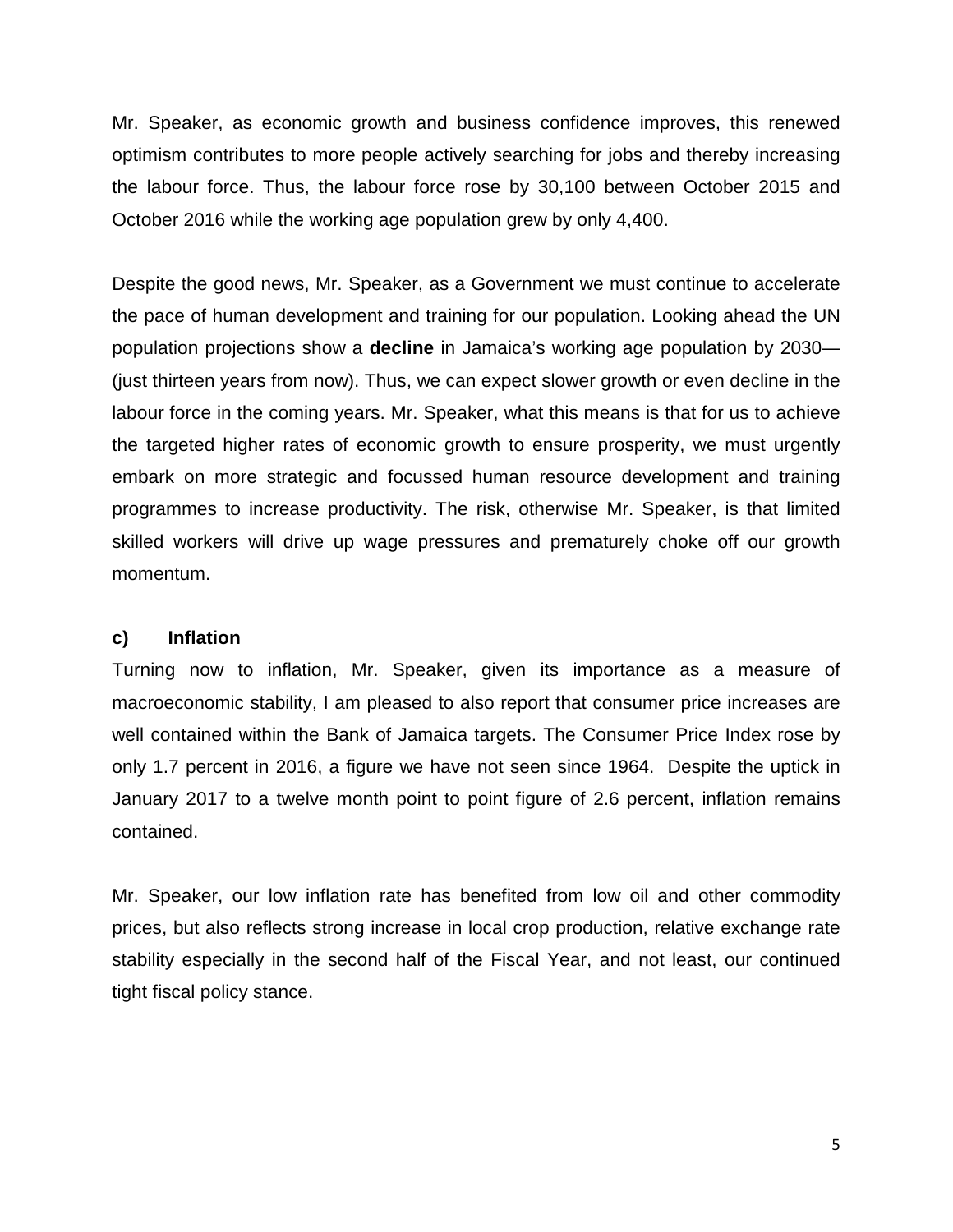Mr. Speaker, as economic growth and business confidence improves, this renewed optimism contributes to more people actively searching for jobs and thereby increasing the labour force. Thus, the labour force rose by 30,100 between October 2015 and October 2016 while the working age population grew by only 4,400.

Despite the good news, Mr. Speaker, as a Government we must continue to accelerate the pace of human development and training for our population. Looking ahead the UN population projections show a **decline** in Jamaica's working age population by 2030— (just thirteen years from now). Thus, we can expect slower growth or even decline in the labour force in the coming years. Mr. Speaker, what this means is that for us to achieve the targeted higher rates of economic growth to ensure prosperity, we must urgently embark on more strategic and focussed human resource development and training programmes to increase productivity. The risk, otherwise Mr. Speaker, is that limited skilled workers will drive up wage pressures and prematurely choke off our growth momentum.

#### **c) Inflation**

Turning now to inflation, Mr. Speaker, given its importance as a measure of macroeconomic stability, I am pleased to also report that consumer price increases are well contained within the Bank of Jamaica targets. The Consumer Price Index rose by only 1.7 percent in 2016, a figure we have not seen since 1964. Despite the uptick in January 2017 to a twelve month point to point figure of 2.6 percent, inflation remains contained.

Mr. Speaker, our low inflation rate has benefited from low oil and other commodity prices, but also reflects strong increase in local crop production, relative exchange rate stability especially in the second half of the Fiscal Year, and not least, our continued tight fiscal policy stance.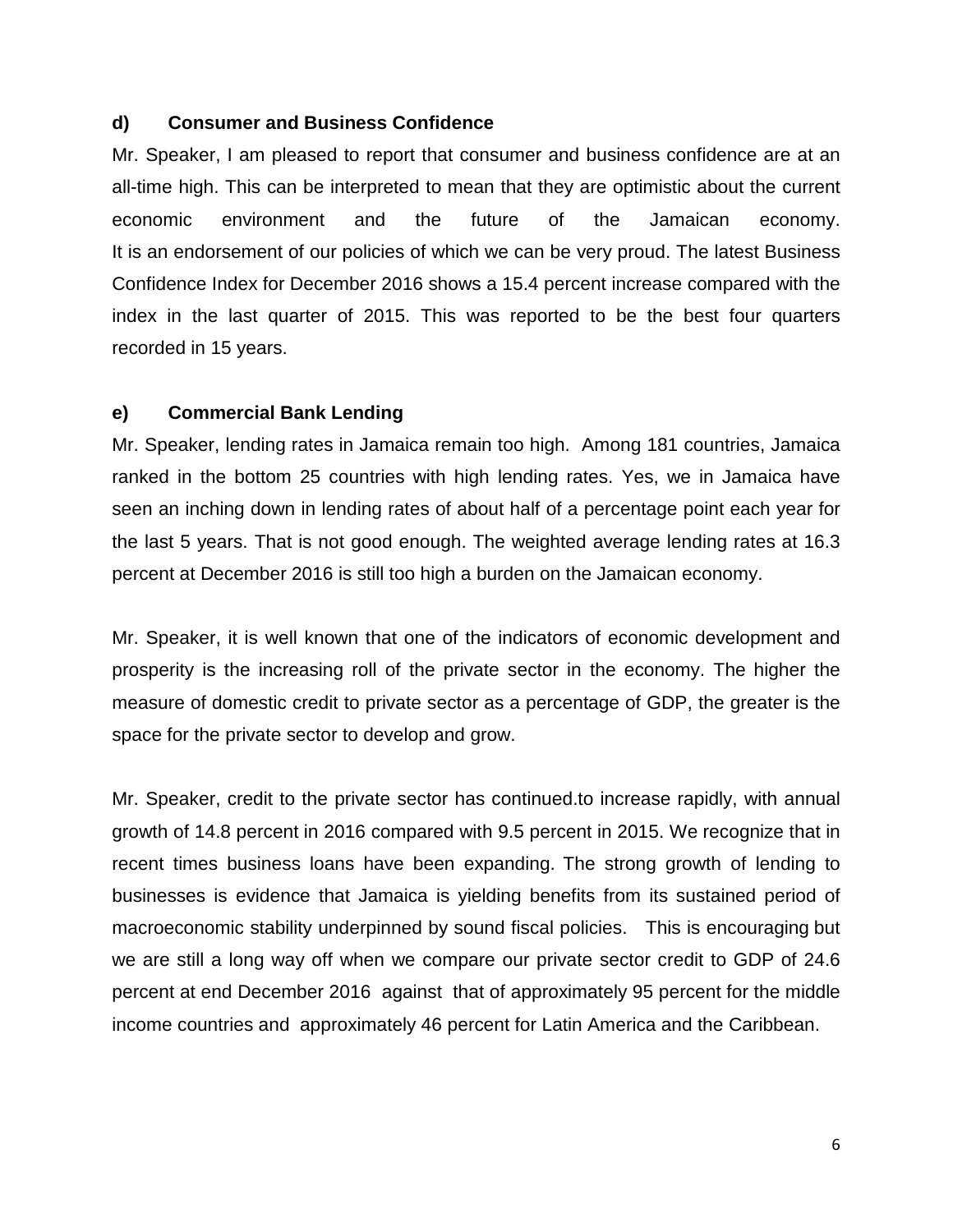### **d) Consumer and Business Confidence**

Mr. Speaker, I am pleased to report that consumer and business confidence are at an all-time high. This can be interpreted to mean that they are optimistic about the current economic environment and the future of the Jamaican economy. It is an endorsement of our policies of which we can be very proud. The latest Business Confidence Index for December 2016 shows a 15.4 percent increase compared with the index in the last quarter of 2015. This was reported to be the best four quarters recorded in 15 years.

### **e) Commercial Bank Lending**

Mr. Speaker, lending rates in Jamaica remain too high. Among 181 countries, Jamaica ranked in the bottom 25 countries with high lending rates. Yes, we in Jamaica have seen an inching down in lending rates of about half of a percentage point each year for the last 5 years. That is not good enough. The weighted average lending rates at 16.3 percent at December 2016 is still too high a burden on the Jamaican economy.

Mr. Speaker, it is well known that one of the indicators of economic development and prosperity is the increasing roll of the private sector in the economy. The higher the measure of domestic credit to private sector as a percentage of GDP, the greater is the space for the private sector to develop and grow.

Mr. Speaker, credit to the private sector has continued.to increase rapidly, with annual growth of 14.8 percent in 2016 compared with 9.5 percent in 2015. We recognize that in recent times business loans have been expanding. The strong growth of lending to businesses is evidence that Jamaica is yielding benefits from its sustained period of macroeconomic stability underpinned by sound fiscal policies. This is encouraging but we are still a long way off when we compare our private sector credit to GDP of 24.6 percent at end December 2016 against that of approximately 95 percent for the middle income countries and approximately 46 percent for Latin America and the Caribbean.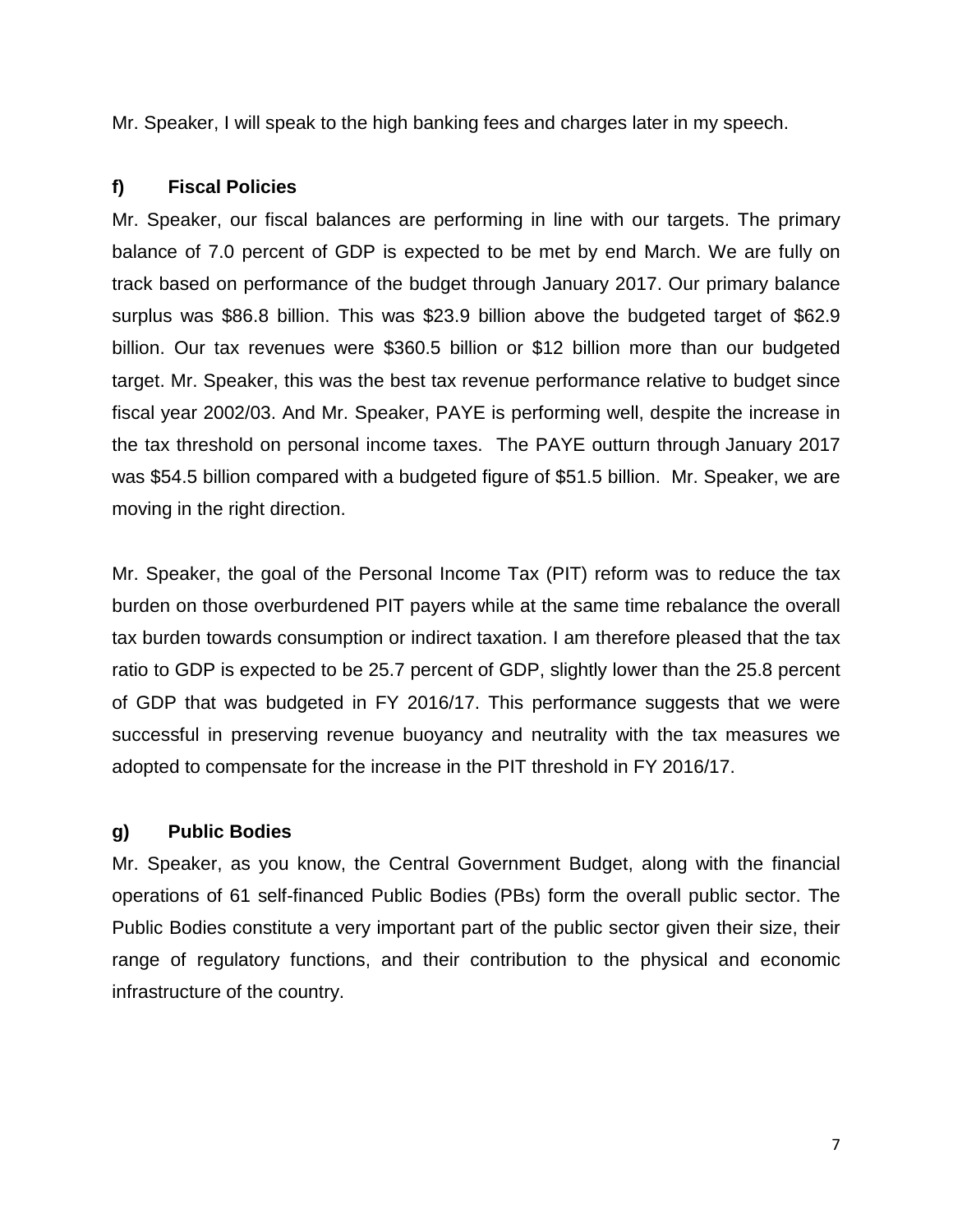Mr. Speaker, I will speak to the high banking fees and charges later in my speech.

### **f) Fiscal Policies**

Mr. Speaker, our fiscal balances are performing in line with our targets. The primary balance of 7.0 percent of GDP is expected to be met by end March. We are fully on track based on performance of the budget through January 2017. Our primary balance surplus was \$86.8 billion. This was \$23.9 billion above the budgeted target of \$62.9 billion. Our tax revenues were \$360.5 billion or \$12 billion more than our budgeted target. Mr. Speaker, this was the best tax revenue performance relative to budget since fiscal year 2002/03. And Mr. Speaker, PAYE is performing well, despite the increase in the tax threshold on personal income taxes. The PAYE outturn through January 2017 was \$54.5 billion compared with a budgeted figure of \$51.5 billion. Mr. Speaker, we are moving in the right direction.

Mr. Speaker, the goal of the Personal Income Tax (PIT) reform was to reduce the tax burden on those overburdened PIT payers while at the same time rebalance the overall tax burden towards consumption or indirect taxation. I am therefore pleased that the tax ratio to GDP is expected to be 25.7 percent of GDP, slightly lower than the 25.8 percent of GDP that was budgeted in FY 2016/17. This performance suggests that we were successful in preserving revenue buoyancy and neutrality with the tax measures we adopted to compensate for the increase in the PIT threshold in FY 2016/17.

### **g) Public Bodies**

Mr. Speaker, as you know, the Central Government Budget, along with the financial operations of 61 self-financed Public Bodies (PBs) form the overall public sector. The Public Bodies constitute a very important part of the public sector given their size, their range of regulatory functions, and their contribution to the physical and economic infrastructure of the country.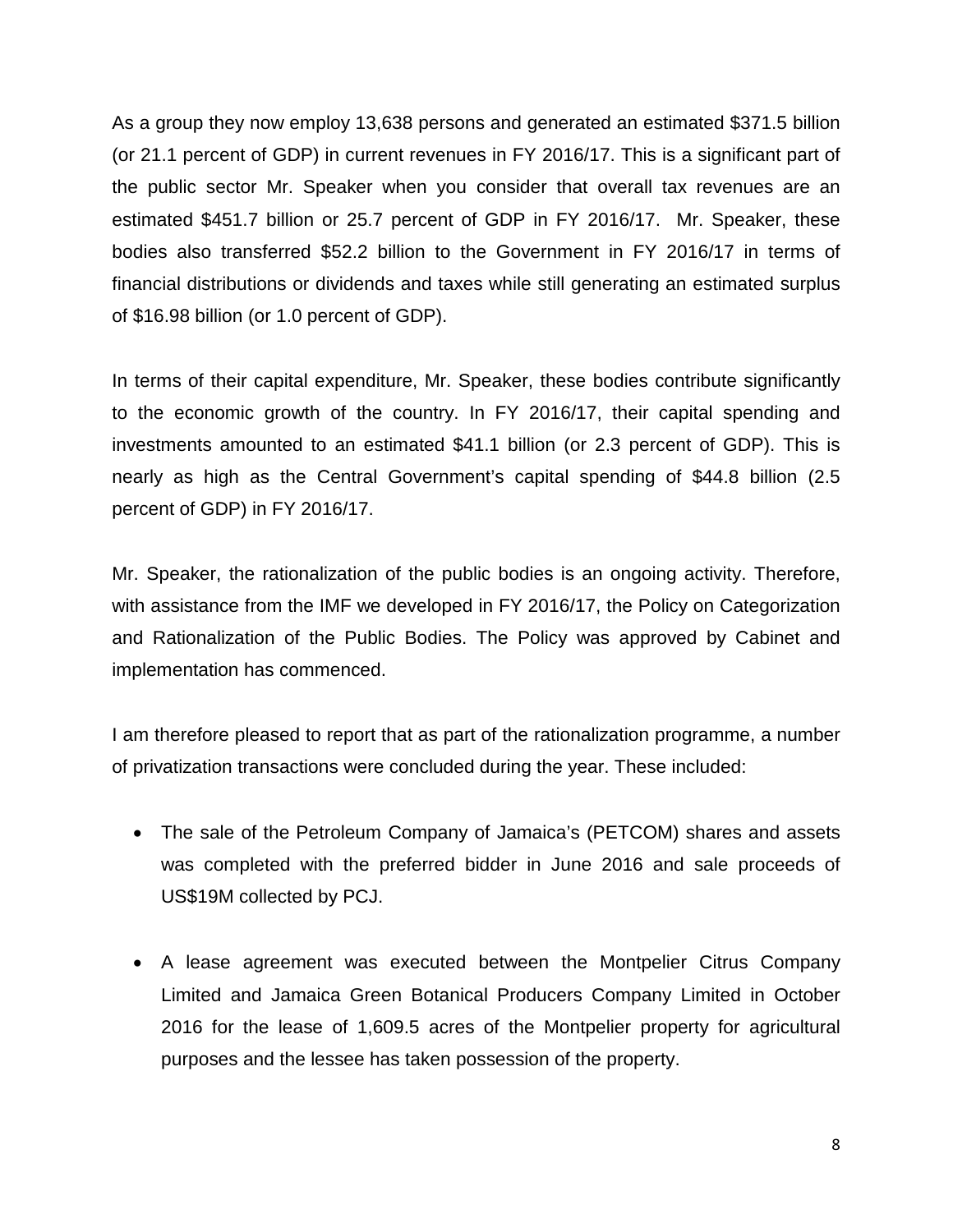As a group they now employ 13,638 persons and generated an estimated \$371.5 billion (or 21.1 percent of GDP) in current revenues in FY 2016/17. This is a significant part of the public sector Mr. Speaker when you consider that overall tax revenues are an estimated \$451.7 billion or 25.7 percent of GDP in FY 2016/17. Mr. Speaker, these bodies also transferred \$52.2 billion to the Government in FY 2016/17 in terms of financial distributions or dividends and taxes while still generating an estimated surplus of \$16.98 billion (or 1.0 percent of GDP).

In terms of their capital expenditure, Mr. Speaker, these bodies contribute significantly to the economic growth of the country. In FY 2016/17, their capital spending and investments amounted to an estimated \$41.1 billion (or 2.3 percent of GDP). This is nearly as high as the Central Government's capital spending of \$44.8 billion (2.5 percent of GDP) in FY 2016/17.

Mr. Speaker, the rationalization of the public bodies is an ongoing activity. Therefore, with assistance from the IMF we developed in FY 2016/17, the Policy on Categorization and Rationalization of the Public Bodies. The Policy was approved by Cabinet and implementation has commenced.

I am therefore pleased to report that as part of the rationalization programme, a number of privatization transactions were concluded during the year. These included:

- The sale of the Petroleum Company of Jamaica's (PETCOM) shares and assets was completed with the preferred bidder in June 2016 and sale proceeds of US\$19M collected by PCJ.
- A lease agreement was executed between the Montpelier Citrus Company Limited and Jamaica Green Botanical Producers Company Limited in October 2016 for the lease of 1,609.5 acres of the Montpelier property for agricultural purposes and the lessee has taken possession of the property.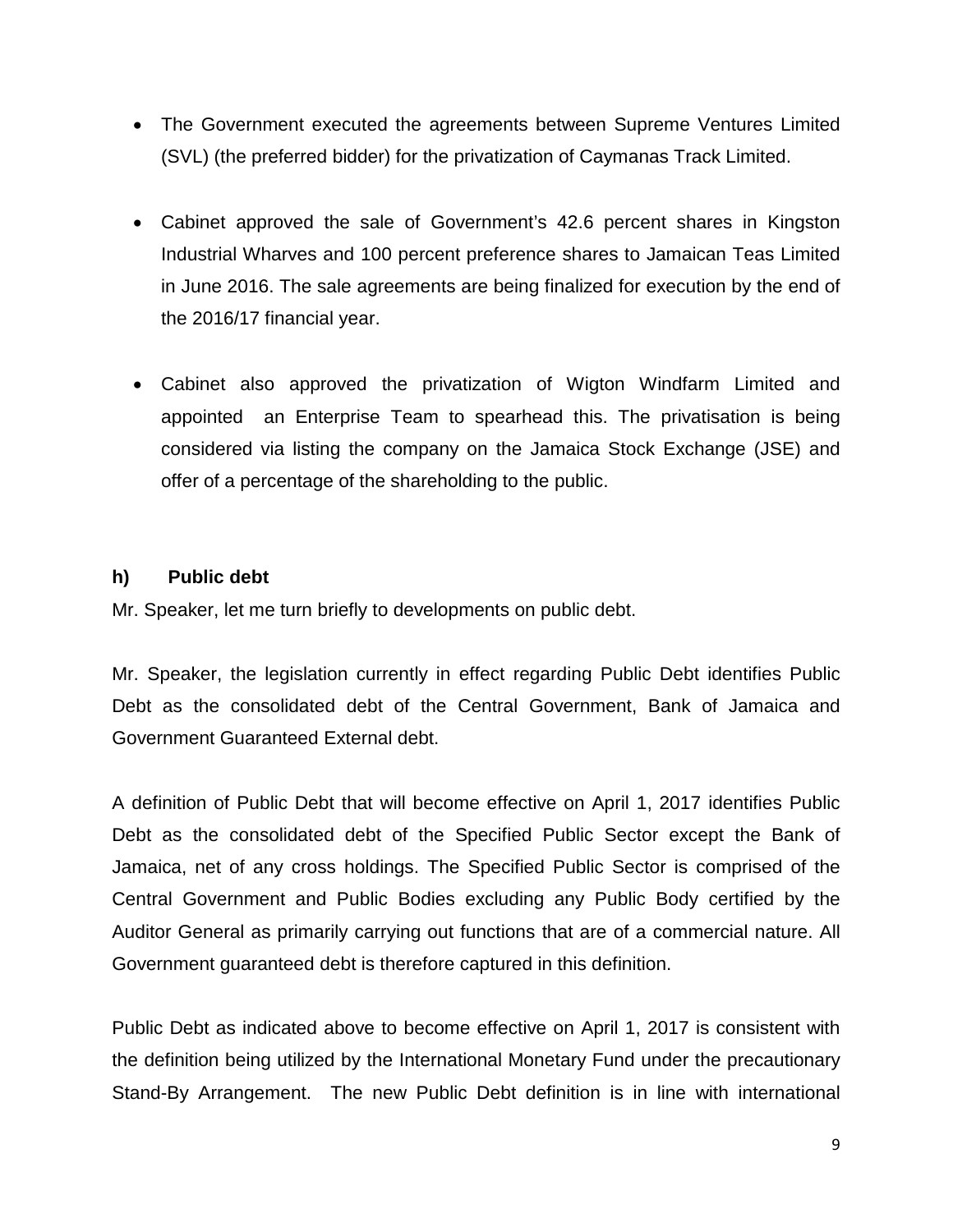- The Government executed the agreements between Supreme Ventures Limited (SVL) (the preferred bidder) for the privatization of Caymanas Track Limited.
- Cabinet approved the sale of Government's 42.6 percent shares in Kingston Industrial Wharves and 100 percent preference shares to Jamaican Teas Limited in June 2016. The sale agreements are being finalized for execution by the end of the 2016/17 financial year.
- Cabinet also approved the privatization of Wigton Windfarm Limited and appointed an Enterprise Team to spearhead this. The privatisation is being considered via listing the company on the Jamaica Stock Exchange (JSE) and offer of a percentage of the shareholding to the public.

### **h) Public debt**

Mr. Speaker, let me turn briefly to developments on public debt.

Mr. Speaker, the legislation currently in effect regarding Public Debt identifies Public Debt as the consolidated debt of the Central Government, Bank of Jamaica and Government Guaranteed External debt.

A definition of Public Debt that will become effective on April 1, 2017 identifies Public Debt as the consolidated debt of the Specified Public Sector except the Bank of Jamaica, net of any cross holdings. The Specified Public Sector is comprised of the Central Government and Public Bodies excluding any Public Body certified by the Auditor General as primarily carrying out functions that are of a commercial nature. All Government guaranteed debt is therefore captured in this definition.

Public Debt as indicated above to become effective on April 1, 2017 is consistent with the definition being utilized by the International Monetary Fund under the precautionary Stand-By Arrangement. The new Public Debt definition is in line with international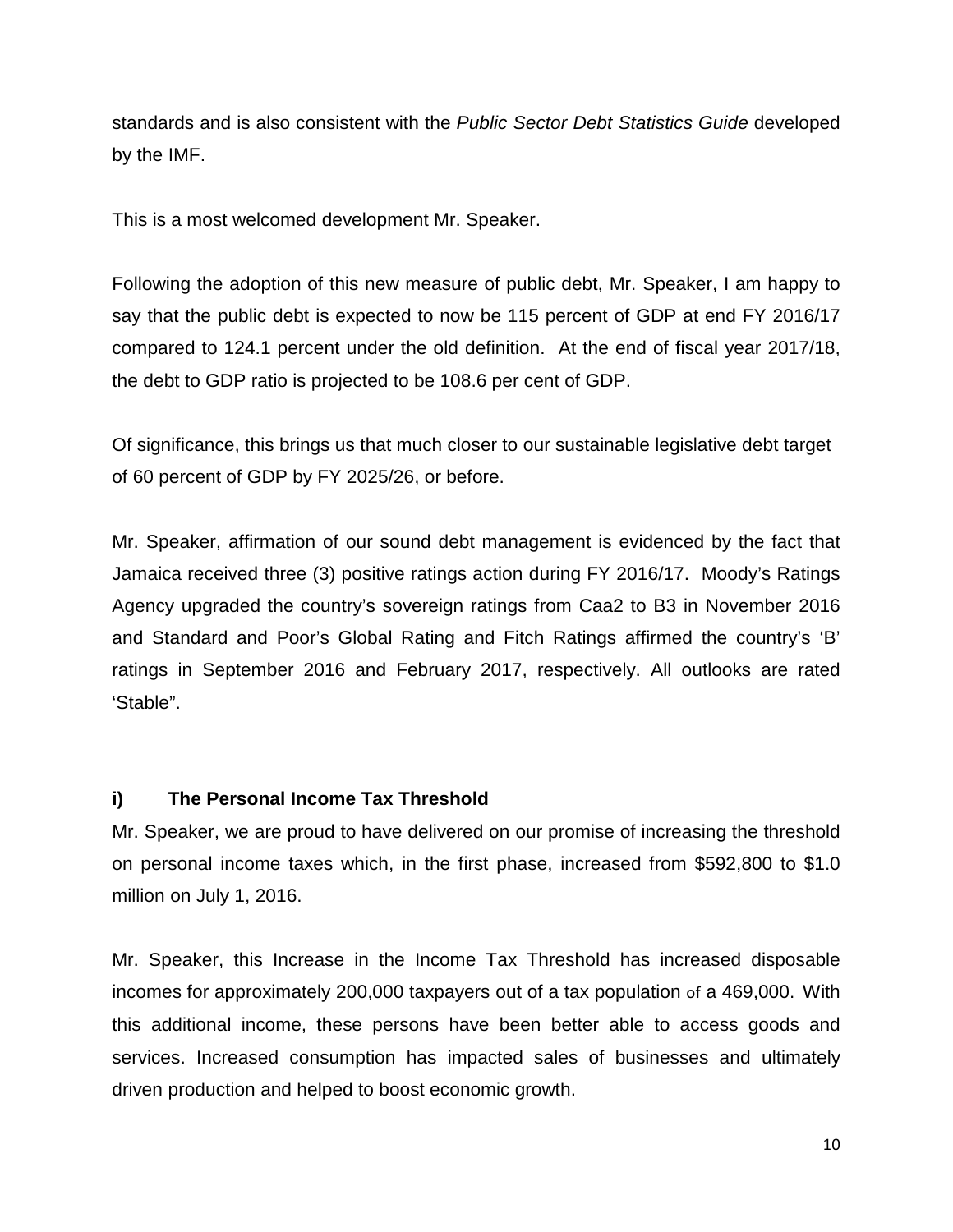standards and is also consistent with the *Public Sector Debt Statistics Guide* developed by the IMF.

This is a most welcomed development Mr. Speaker.

Following the adoption of this new measure of public debt, Mr. Speaker, I am happy to say that the public debt is expected to now be 115 percent of GDP at end FY 2016/17 compared to 124.1 percent under the old definition. At the end of fiscal year 2017/18, the debt to GDP ratio is projected to be 108.6 per cent of GDP.

Of significance, this brings us that much closer to our sustainable legislative debt target of 60 percent of GDP by FY 2025/26, or before.

Mr. Speaker, affirmation of our sound debt management is evidenced by the fact that Jamaica received three (3) positive ratings action during FY 2016/17. Moody's Ratings Agency upgraded the country's sovereign ratings from Caa2 to B3 in November 2016 and Standard and Poor's Global Rating and Fitch Ratings affirmed the country's 'B' ratings in September 2016 and February 2017, respectively. All outlooks are rated 'Stable".

### **i) The Personal Income Tax Threshold**

Mr. Speaker, we are proud to have delivered on our promise of increasing the threshold on personal income taxes which, in the first phase, increased from \$592,800 to \$1.0 million on July 1, 2016.

Mr. Speaker, this Increase in the Income Tax Threshold has increased disposable incomes for approximately 200,000 taxpayers out of a tax population of a 469,000. With this additional income, these persons have been better able to access goods and services. Increased consumption has impacted sales of businesses and ultimately driven production and helped to boost economic growth.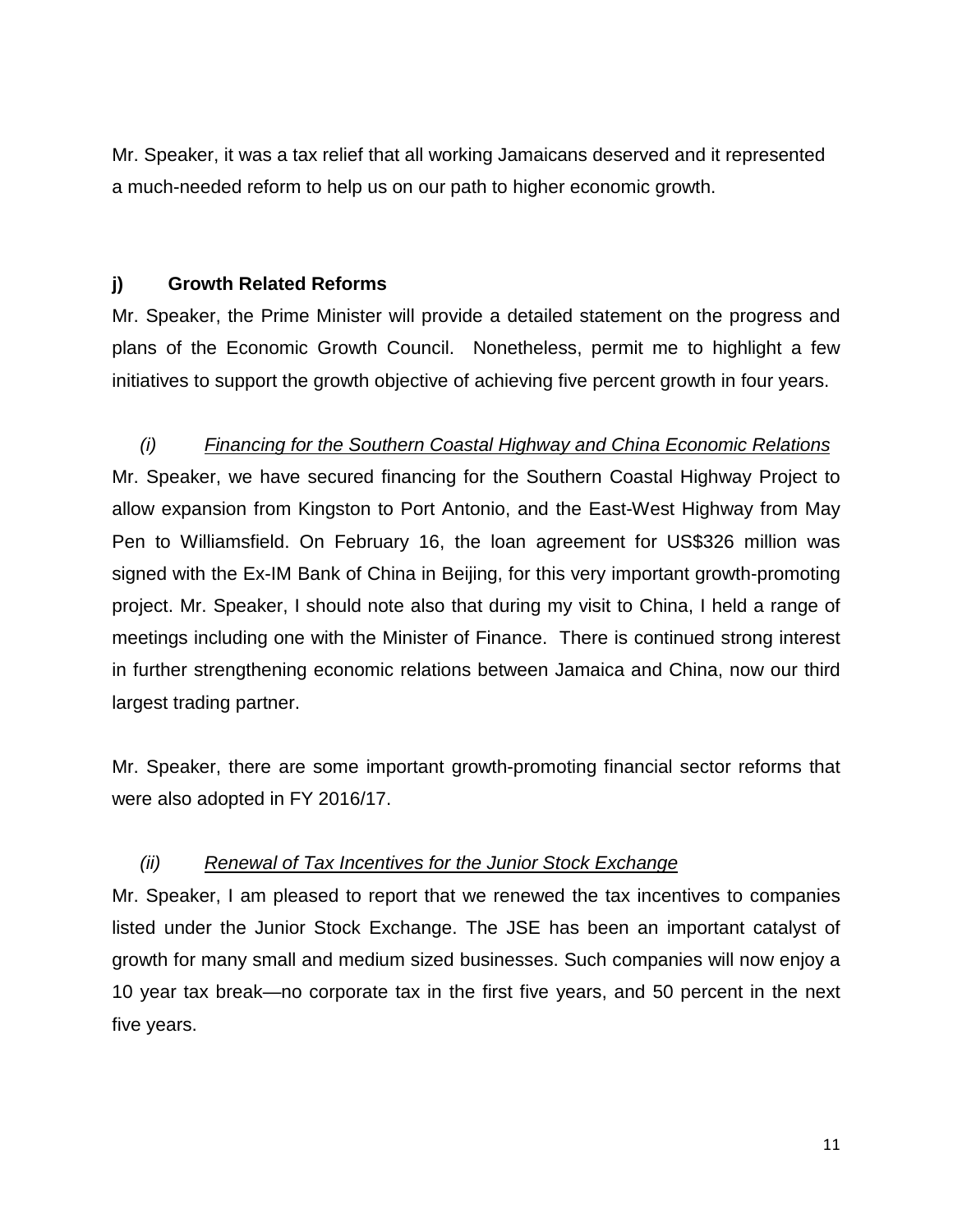Mr. Speaker, it was a tax relief that all working Jamaicans deserved and it represented a much-needed reform to help us on our path to higher economic growth.

### **j) Growth Related Reforms**

Mr. Speaker, the Prime Minister will provide a detailed statement on the progress and plans of the Economic Growth Council. Nonetheless, permit me to highlight a few initiatives to support the growth objective of achieving five percent growth in four years.

### *(i) Financing for the Southern Coastal Highway and China Economic Relations*

Mr. Speaker, we have secured financing for the Southern Coastal Highway Project to allow expansion from Kingston to Port Antonio, and the East-West Highway from May Pen to Williamsfield. On February 16, the loan agreement for US\$326 million was signed with the Ex-IM Bank of China in Beijing, for this very important growth-promoting project. Mr. Speaker, I should note also that during my visit to China, I held a range of meetings including one with the Minister of Finance. There is continued strong interest in further strengthening economic relations between Jamaica and China, now our third largest trading partner.

Mr. Speaker, there are some important growth-promoting financial sector reforms that were also adopted in FY 2016/17.

### *(ii) Renewal of Tax Incentives for the Junior Stock Exchange*

Mr. Speaker, I am pleased to report that we renewed the tax incentives to companies listed under the Junior Stock Exchange. The JSE has been an important catalyst of growth for many small and medium sized businesses. Such companies will now enjoy a 10 year tax break—no corporate tax in the first five years, and 50 percent in the next five years.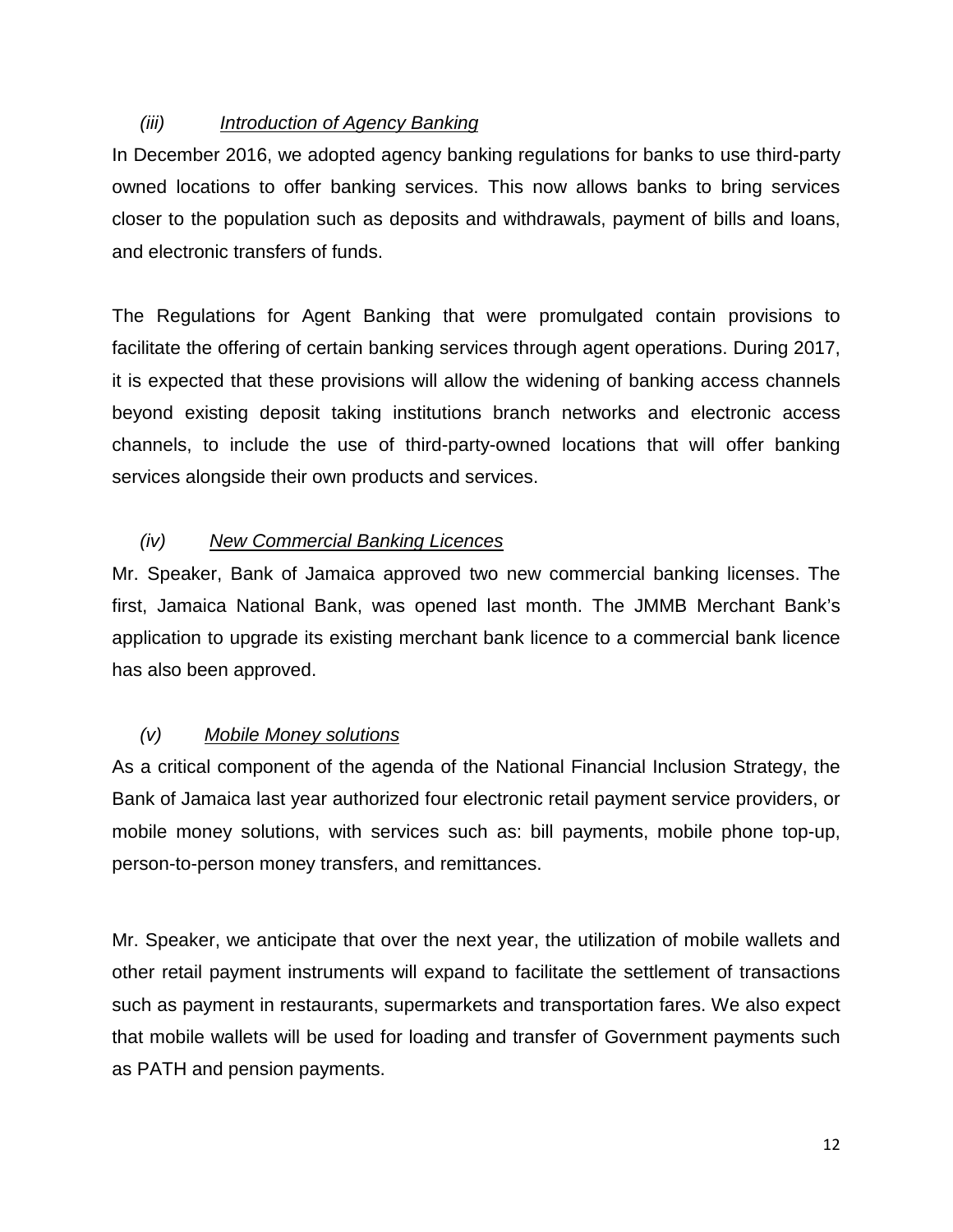### *(iii) Introduction of Agency Banking*

In December 2016, we adopted agency banking regulations for banks to use third-party owned locations to offer banking services. This now allows banks to bring services closer to the population such as deposits and withdrawals, payment of bills and loans, and electronic transfers of funds.

The Regulations for Agent Banking that were promulgated contain provisions to facilitate the offering of certain banking services through agent operations. During 2017, it is expected that these provisions will allow the widening of banking access channels beyond existing deposit taking institutions branch networks and electronic access channels, to include the use of third-party-owned locations that will offer banking services alongside their own products and services.

### *(iv) New Commercial Banking Licences*

Mr. Speaker, Bank of Jamaica approved two new commercial banking licenses. The first, Jamaica National Bank, was opened last month. The JMMB Merchant Bank's application to upgrade its existing merchant bank licence to a commercial bank licence has also been approved.

### *(v) Mobile Money solutions*

As a critical component of the agenda of the National Financial Inclusion Strategy, the Bank of Jamaica last year authorized four electronic retail payment service providers, or mobile money solutions, with services such as: bill payments, mobile phone top-up, person-to-person money transfers, and remittances.

Mr. Speaker, we anticipate that over the next year, the utilization of mobile wallets and other retail payment instruments will expand to facilitate the settlement of transactions such as payment in restaurants, supermarkets and transportation fares. We also expect that mobile wallets will be used for loading and transfer of Government payments such as PATH and pension payments.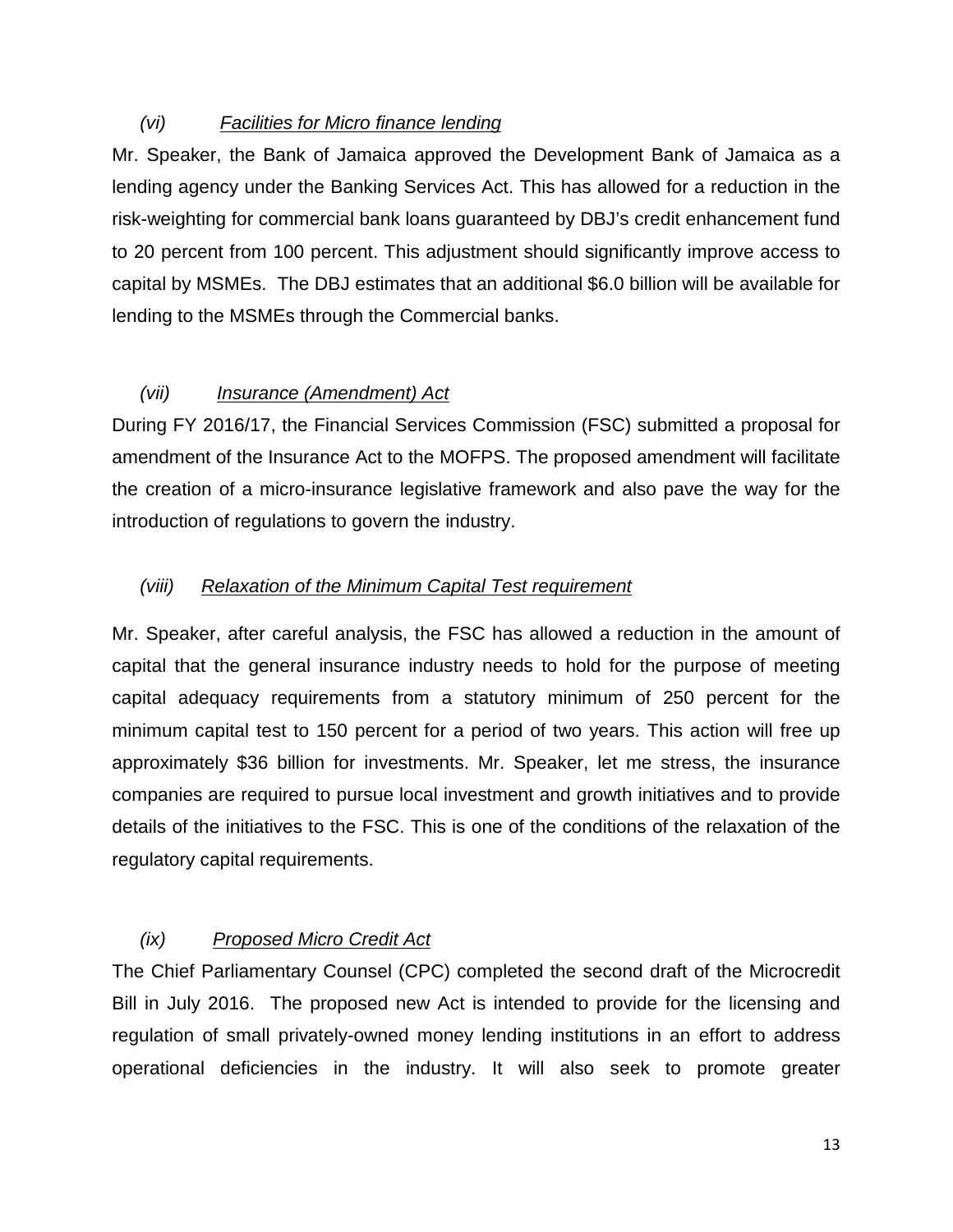### *(vi) Facilities for Micro finance lending*

Mr. Speaker, the Bank of Jamaica approved the Development Bank of Jamaica as a lending agency under the Banking Services Act. This has allowed for a reduction in the risk-weighting for commercial bank loans guaranteed by DBJ's credit enhancement fund to 20 percent from 100 percent. This adjustment should significantly improve access to capital by MSMEs. The DBJ estimates that an additional \$6.0 billion will be available for lending to the MSMEs through the Commercial banks.

### *(vii) Insurance (Amendment) Act*

During FY 2016/17, the Financial Services Commission (FSC) submitted a proposal for amendment of the Insurance Act to the MOFPS. The proposed amendment will facilitate the creation of a micro-insurance legislative framework and also pave the way for the introduction of regulations to govern the industry.

### *(viii) Relaxation of the Minimum Capital Test requirement*

Mr. Speaker, after careful analysis, the FSC has allowed a reduction in the amount of capital that the general insurance industry needs to hold for the purpose of meeting capital adequacy requirements from a statutory minimum of 250 percent for the minimum capital test to 150 percent for a period of two years. This action will free up approximately \$36 billion for investments. Mr. Speaker, let me stress, the insurance companies are required to pursue local investment and growth initiatives and to provide details of the initiatives to the FSC. This is one of the conditions of the relaxation of the regulatory capital requirements.

### *(ix) Proposed Micro Credit Act*

The Chief Parliamentary Counsel (CPC) completed the second draft of the Microcredit Bill in July 2016. The proposed new Act is intended to provide for the licensing and regulation of small privately-owned money lending institutions in an effort to address operational deficiencies in the industry. It will also seek to promote greater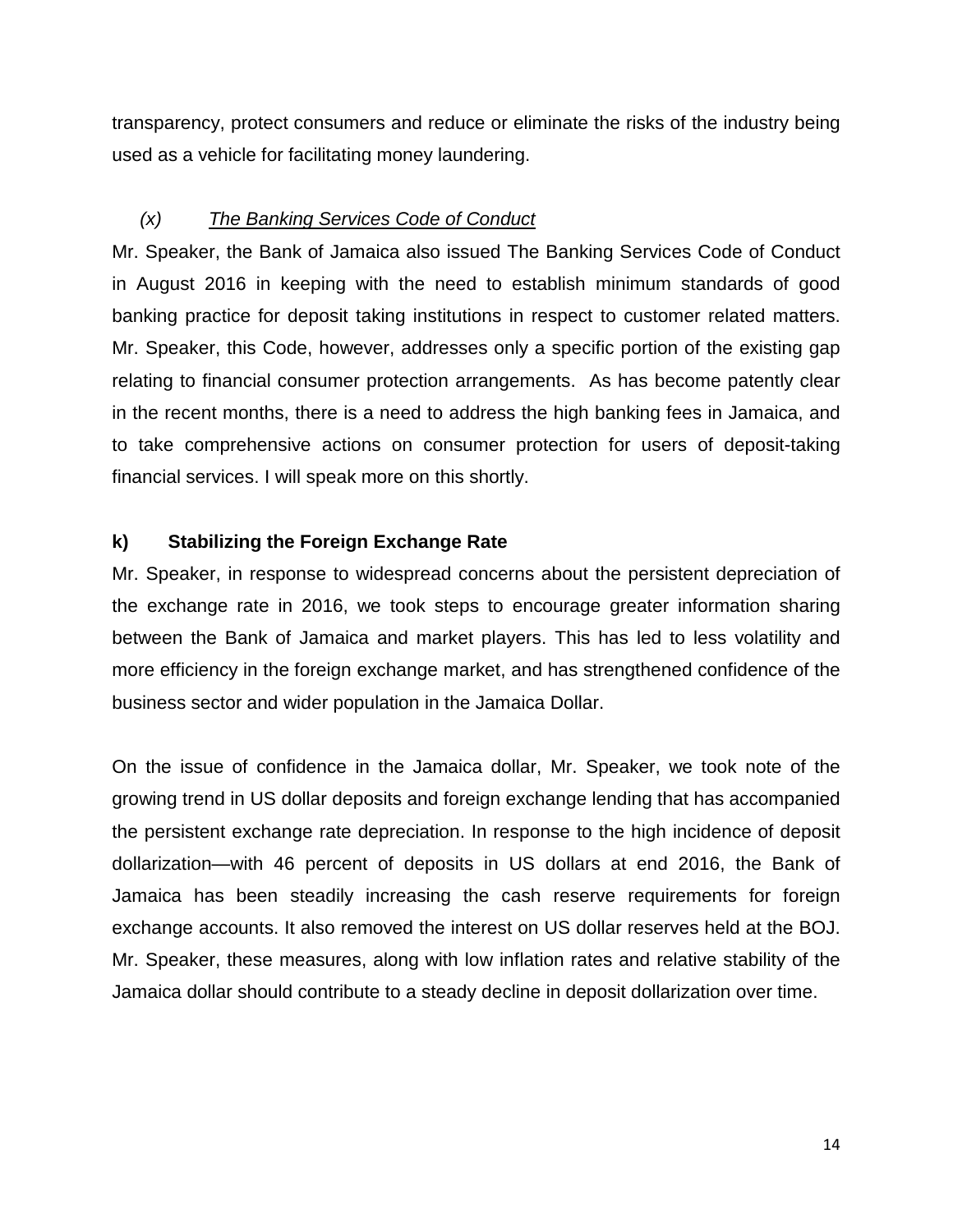transparency, protect consumers and reduce or eliminate the risks of the industry being used as a vehicle for facilitating money laundering.

### *(x) The Banking Services Code of Conduct*

Mr. Speaker, the Bank of Jamaica also issued The Banking Services Code of Conduct in August 2016 in keeping with the need to establish minimum standards of good banking practice for deposit taking institutions in respect to customer related matters. Mr. Speaker, this Code, however, addresses only a specific portion of the existing gap relating to financial consumer protection arrangements. As has become patently clear in the recent months, there is a need to address the high banking fees in Jamaica, and to take comprehensive actions on consumer protection for users of deposit-taking financial services. I will speak more on this shortly.

### **k) Stabilizing the Foreign Exchange Rate**

Mr. Speaker, in response to widespread concerns about the persistent depreciation of the exchange rate in 2016, we took steps to encourage greater information sharing between the Bank of Jamaica and market players. This has led to less volatility and more efficiency in the foreign exchange market, and has strengthened confidence of the business sector and wider population in the Jamaica Dollar.

On the issue of confidence in the Jamaica dollar, Mr. Speaker, we took note of the growing trend in US dollar deposits and foreign exchange lending that has accompanied the persistent exchange rate depreciation. In response to the high incidence of deposit dollarization—with 46 percent of deposits in US dollars at end 2016, the Bank of Jamaica has been steadily increasing the cash reserve requirements for foreign exchange accounts. It also removed the interest on US dollar reserves held at the BOJ. Mr. Speaker, these measures, along with low inflation rates and relative stability of the Jamaica dollar should contribute to a steady decline in deposit dollarization over time.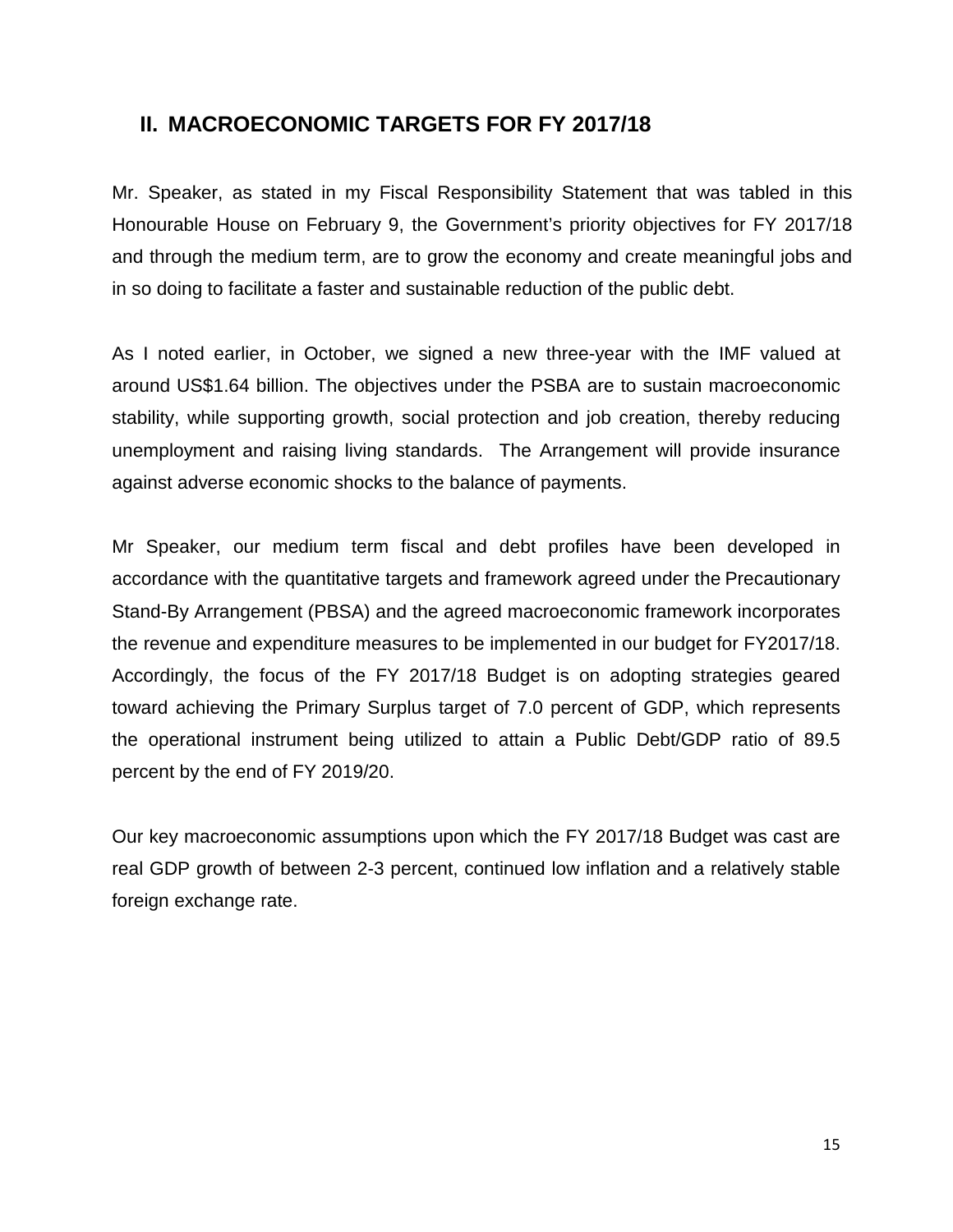### **II. MACROECONOMIC TARGETS FOR FY 2017/18**

Mr. Speaker, as stated in my Fiscal Responsibility Statement that was tabled in this Honourable House on February 9, the Government's priority objectives for FY 2017/18 and through the medium term, are to grow the economy and create meaningful jobs and in so doing to facilitate a faster and sustainable reduction of the public debt.

As I noted earlier, in October, we signed a new three-year with the IMF valued at around US\$1.64 billion. The objectives under the PSBA are to sustain macroeconomic stability, while supporting growth, social protection and job creation, thereby reducing unemployment and raising living standards. The Arrangement will provide insurance against adverse economic shocks to the balance of payments.

Mr Speaker, our medium term fiscal and debt profiles have been developed in accordance with the quantitative targets and framework agreed under the Precautionary Stand-By Arrangement (PBSA) and the agreed macroeconomic framework incorporates the revenue and expenditure measures to be implemented in our budget for FY2017/18. Accordingly, the focus of the FY 2017/18 Budget is on adopting strategies geared toward achieving the Primary Surplus target of 7.0 percent of GDP, which represents the operational instrument being utilized to attain a Public Debt/GDP ratio of 89.5 percent by the end of FY 2019/20.

Our key macroeconomic assumptions upon which the FY 2017/18 Budget was cast are real GDP growth of between 2-3 percent, continued low inflation and a relatively stable foreign exchange rate.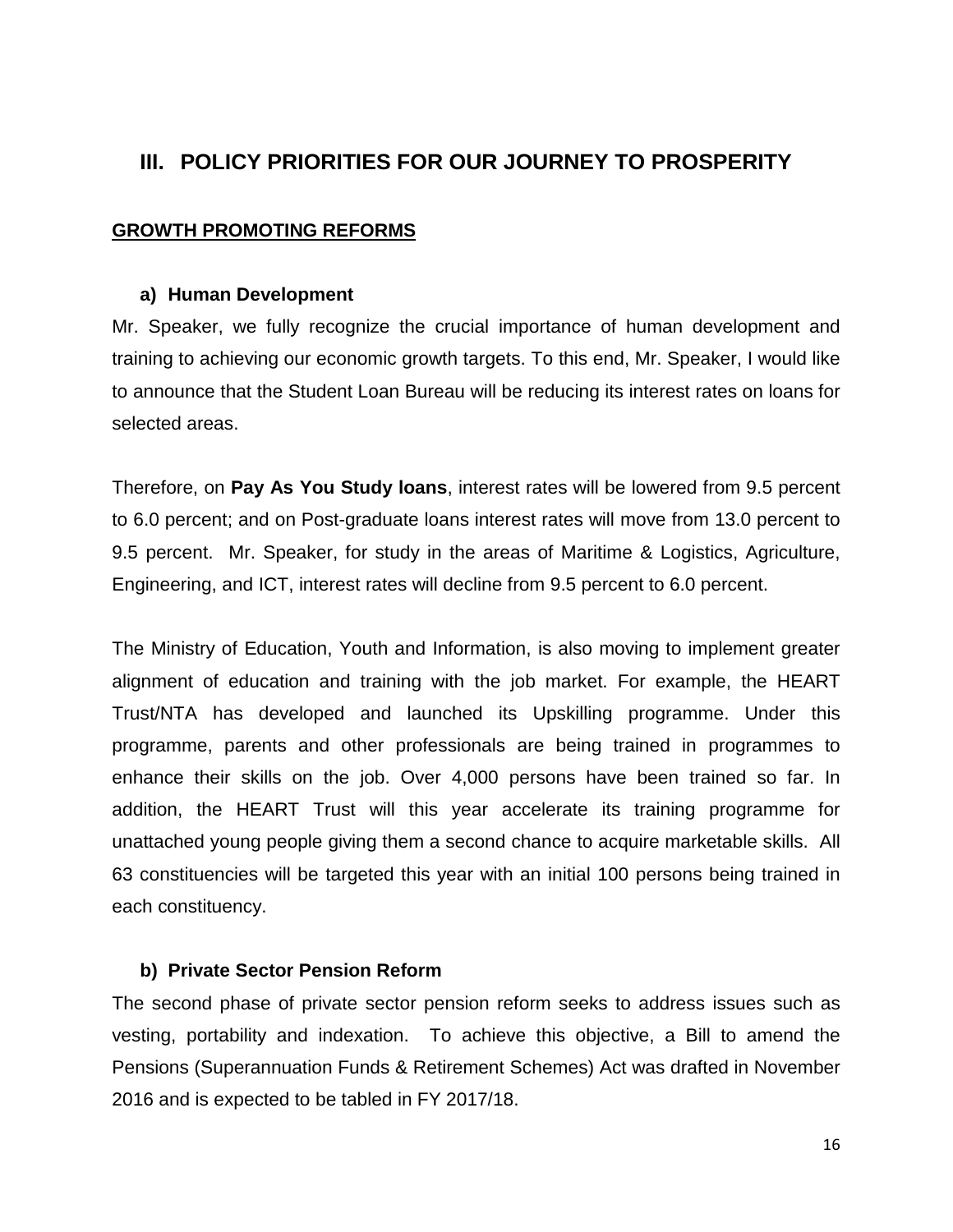### **III. POLICY PRIORITIES FOR OUR JOURNEY TO PROSPERITY**

### **GROWTH PROMOTING REFORMS**

#### **a) Human Development**

Mr. Speaker, we fully recognize the crucial importance of human development and training to achieving our economic growth targets. To this end, Mr. Speaker, I would like to announce that the Student Loan Bureau will be reducing its interest rates on loans for selected areas.

Therefore, on **Pay As You Study loans**, interest rates will be lowered from 9.5 percent to 6.0 percent; and on Post-graduate loans interest rates will move from 13.0 percent to 9.5 percent. Mr. Speaker, for study in the areas of Maritime & Logistics, Agriculture, Engineering, and ICT, interest rates will decline from 9.5 percent to 6.0 percent.

The Ministry of Education, Youth and Information, is also moving to implement greater alignment of education and training with the job market. For example, the HEART Trust/NTA has developed and launched its Upskilling programme. Under this programme, parents and other professionals are being trained in programmes to enhance their skills on the job. Over 4,000 persons have been trained so far. In addition, the HEART Trust will this year accelerate its training programme for unattached young people giving them a second chance to acquire marketable skills. All 63 constituencies will be targeted this year with an initial 100 persons being trained in each constituency.

### **b) Private Sector Pension Reform**

The second phase of private sector pension reform seeks to address issues such as vesting, portability and indexation. To achieve this objective, a Bill to amend the Pensions (Superannuation Funds & Retirement Schemes) Act was drafted in November 2016 and is expected to be tabled in FY 2017/18.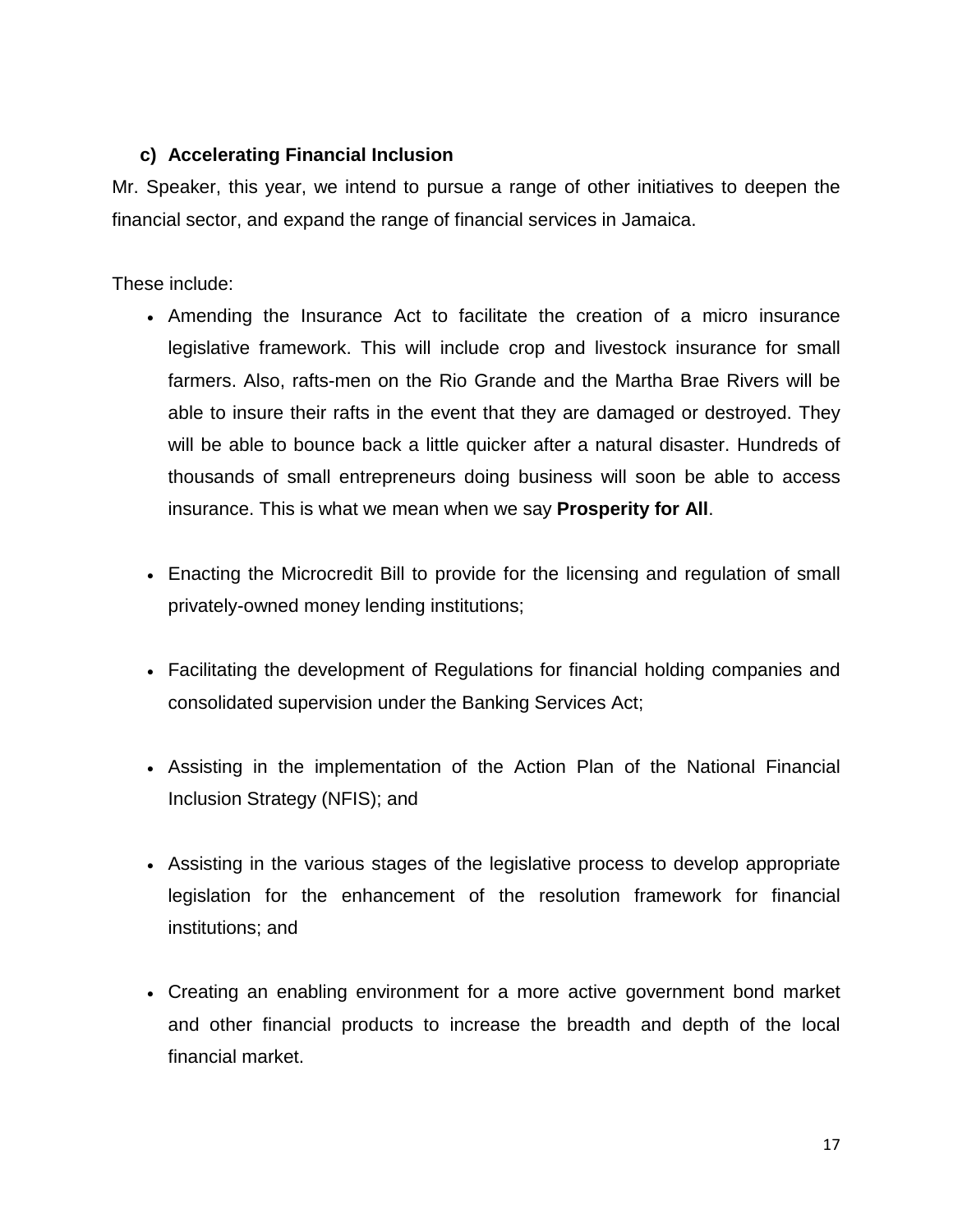### **c) Accelerating Financial Inclusion**

Mr. Speaker, this year, we intend to pursue a range of other initiatives to deepen the financial sector, and expand the range of financial services in Jamaica.

### These include:

- Amending the Insurance Act to facilitate the creation of a micro insurance legislative framework. This will include crop and livestock insurance for small farmers. Also, rafts-men on the Rio Grande and the Martha Brae Rivers will be able to insure their rafts in the event that they are damaged or destroyed. They will be able to bounce back a little quicker after a natural disaster. Hundreds of thousands of small entrepreneurs doing business will soon be able to access insurance. This is what we mean when we say **Prosperity for All**.
- Enacting the Microcredit Bill to provide for the licensing and regulation of small privately-owned money lending institutions;
- Facilitating the development of Regulations for financial holding companies and consolidated supervision under the Banking Services Act;
- Assisting in the implementation of the Action Plan of the National Financial Inclusion Strategy (NFIS); and
- Assisting in the various stages of the legislative process to develop appropriate legislation for the enhancement of the resolution framework for financial institutions; and
- Creating an enabling environment for a more active government bond market and other financial products to increase the breadth and depth of the local financial market.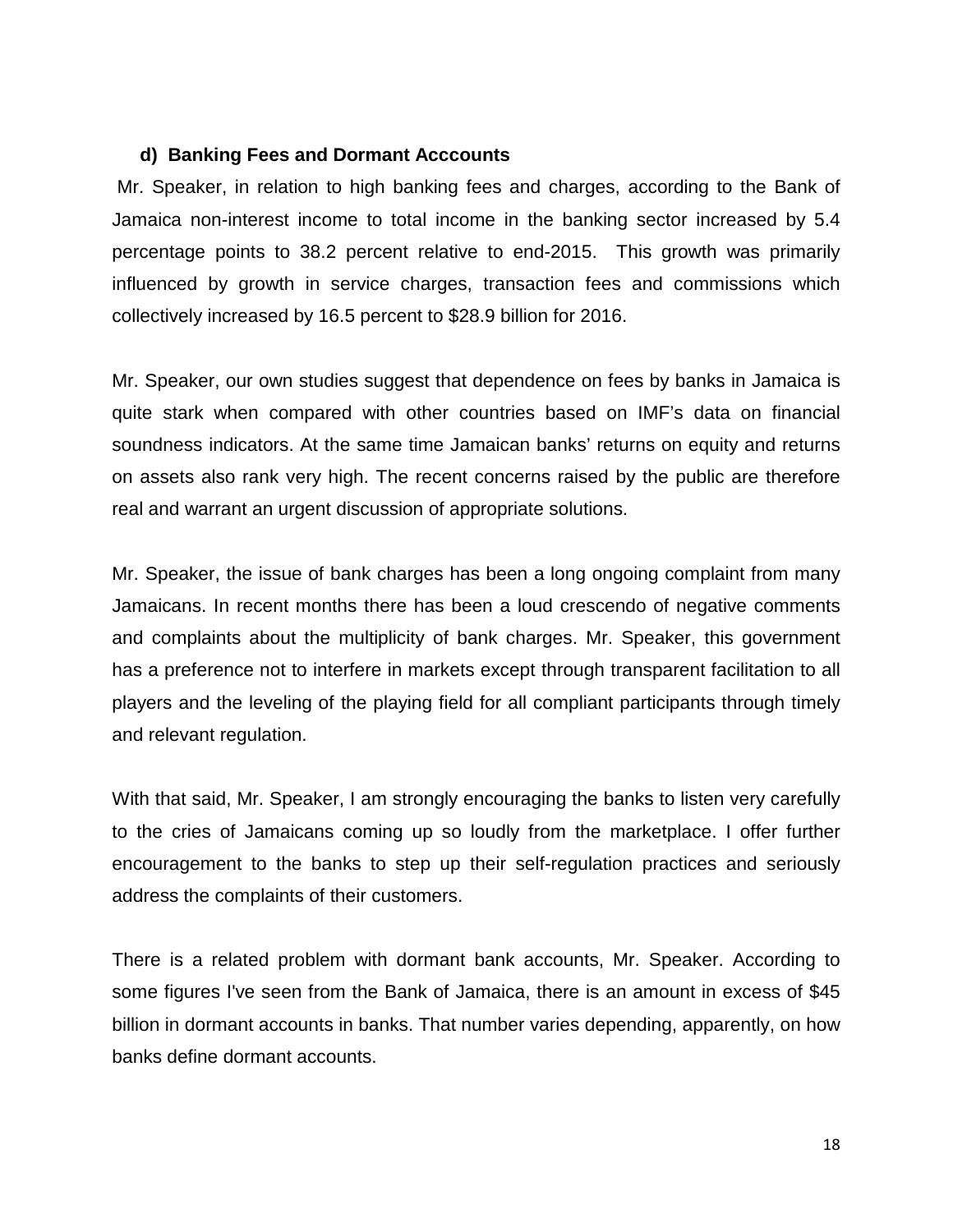#### **d) Banking Fees and Dormant Acccounts**

Mr. Speaker, in relation to high banking fees and charges, according to the Bank of Jamaica non-interest income to total income in the banking sector increased by 5.4 percentage points to 38.2 percent relative to end-2015. This growth was primarily influenced by growth in service charges, transaction fees and commissions which collectively increased by 16.5 percent to \$28.9 billion for 2016.

Mr. Speaker, our own studies suggest that dependence on fees by banks in Jamaica is quite stark when compared with other countries based on IMF's data on financial soundness indicators. At the same time Jamaican banks' returns on equity and returns on assets also rank very high. The recent concerns raised by the public are therefore real and warrant an urgent discussion of appropriate solutions.

Mr. Speaker, the issue of bank charges has been a long ongoing complaint from many Jamaicans. In recent months there has been a loud crescendo of negative comments and complaints about the multiplicity of bank charges. Mr. Speaker, this government has a preference not to interfere in markets except through transparent facilitation to all players and the leveling of the playing field for all compliant participants through timely and relevant regulation.

With that said, Mr. Speaker, I am strongly encouraging the banks to listen very carefully to the cries of Jamaicans coming up so loudly from the marketplace. I offer further encouragement to the banks to step up their self-regulation practices and seriously address the complaints of their customers.

There is a related problem with dormant bank accounts, Mr. Speaker. According to some figures I've seen from the Bank of Jamaica, there is an amount in excess of \$45 billion in dormant accounts in banks. That number varies depending, apparently, on how banks define dormant accounts.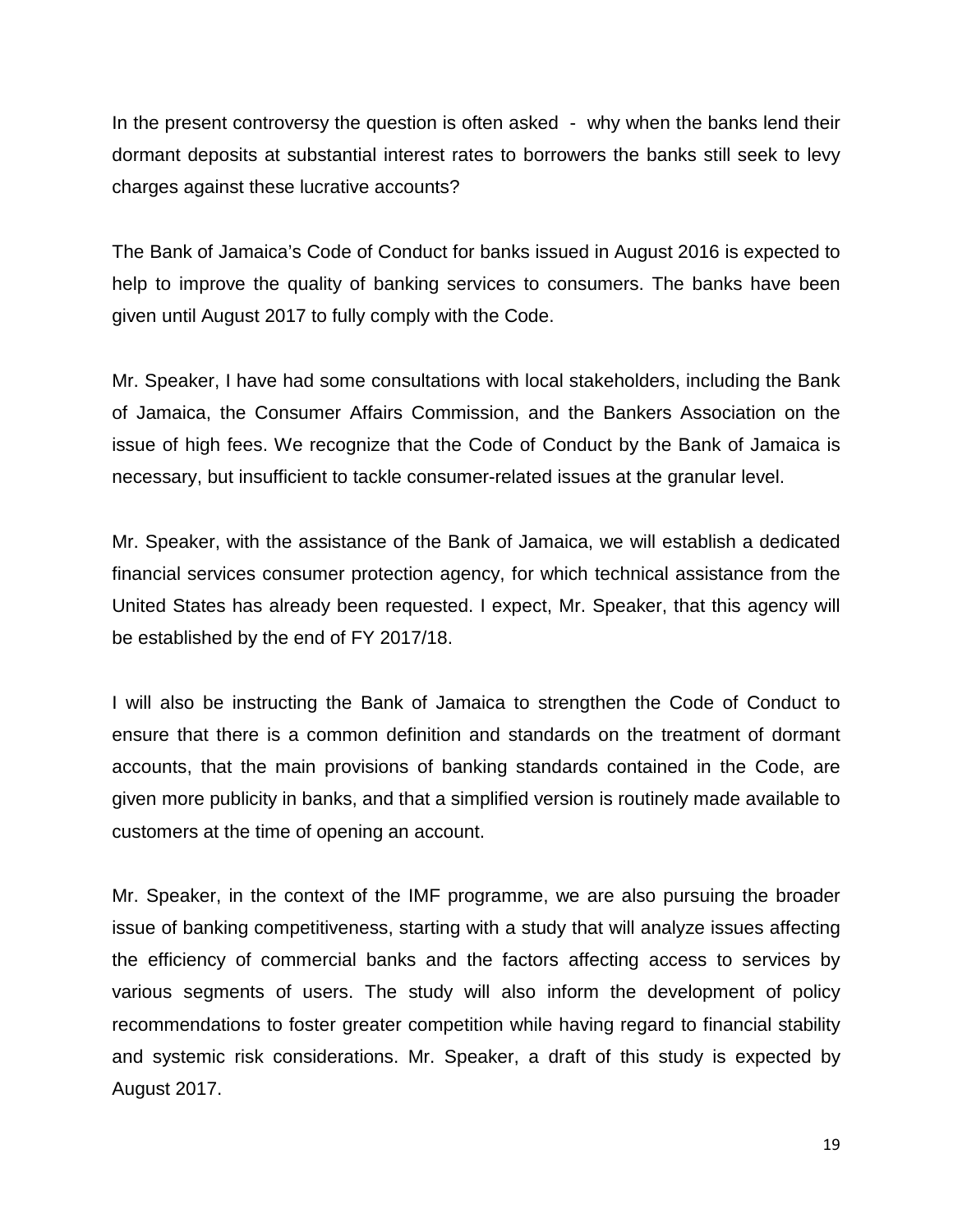In the present controversy the question is often asked - why when the banks lend their dormant deposits at substantial interest rates to borrowers the banks still seek to levy charges against these lucrative accounts?

The Bank of Jamaica's Code of Conduct for banks issued in August 2016 is expected to help to improve the quality of banking services to consumers. The banks have been given until August 2017 to fully comply with the Code.

Mr. Speaker, I have had some consultations with local stakeholders, including the Bank of Jamaica, the Consumer Affairs Commission, and the Bankers Association on the issue of high fees. We recognize that the Code of Conduct by the Bank of Jamaica is necessary, but insufficient to tackle consumer-related issues at the granular level.

Mr. Speaker, with the assistance of the Bank of Jamaica, we will establish a dedicated financial services consumer protection agency, for which technical assistance from the United States has already been requested. I expect, Mr. Speaker, that this agency will be established by the end of FY 2017/18.

I will also be instructing the Bank of Jamaica to strengthen the Code of Conduct to ensure that there is a common definition and standards on the treatment of dormant accounts, that the main provisions of banking standards contained in the Code, are given more publicity in banks, and that a simplified version is routinely made available to customers at the time of opening an account.

Mr. Speaker, in the context of the IMF programme, we are also pursuing the broader issue of banking competitiveness, starting with a study that will analyze issues affecting the efficiency of commercial banks and the factors affecting access to services by various segments of users. The study will also inform the development of policy recommendations to foster greater competition while having regard to financial stability and systemic risk considerations. Mr. Speaker, a draft of this study is expected by August 2017.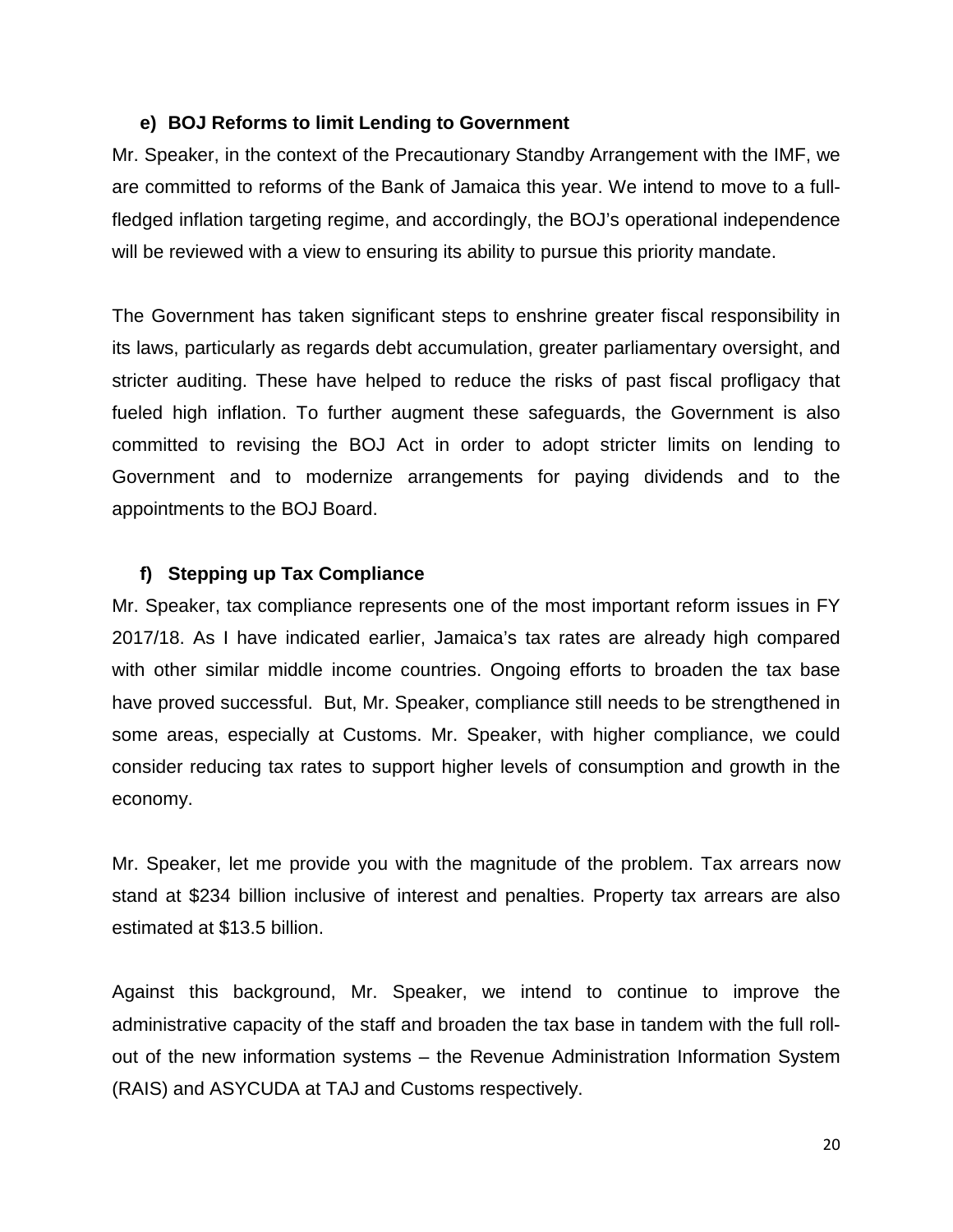#### **e) BOJ Reforms to limit Lending to Government**

Mr. Speaker, in the context of the Precautionary Standby Arrangement with the IMF, we are committed to reforms of the Bank of Jamaica this year. We intend to move to a fullfledged inflation targeting regime, and accordingly, the BOJ's operational independence will be reviewed with a view to ensuring its ability to pursue this priority mandate.

The Government has taken significant steps to enshrine greater fiscal responsibility in its laws, particularly as regards debt accumulation, greater parliamentary oversight, and stricter auditing. These have helped to reduce the risks of past fiscal profligacy that fueled high inflation. To further augment these safeguards, the Government is also committed to revising the BOJ Act in order to adopt stricter limits on lending to Government and to modernize arrangements for paying dividends and to the appointments to the BOJ Board.

### **f) Stepping up Tax Compliance**

Mr. Speaker, tax compliance represents one of the most important reform issues in FY 2017/18. As I have indicated earlier, Jamaica's tax rates are already high compared with other similar middle income countries. Ongoing efforts to broaden the tax base have proved successful. But, Mr. Speaker, compliance still needs to be strengthened in some areas, especially at Customs. Mr. Speaker, with higher compliance, we could consider reducing tax rates to support higher levels of consumption and growth in the economy.

Mr. Speaker, let me provide you with the magnitude of the problem. Tax arrears now stand at \$234 billion inclusive of interest and penalties. Property tax arrears are also estimated at \$13.5 billion.

Against this background, Mr. Speaker, we intend to continue to improve the administrative capacity of the staff and broaden the tax base in tandem with the full rollout of the new information systems – the Revenue Administration Information System (RAIS) and ASYCUDA at TAJ and Customs respectively.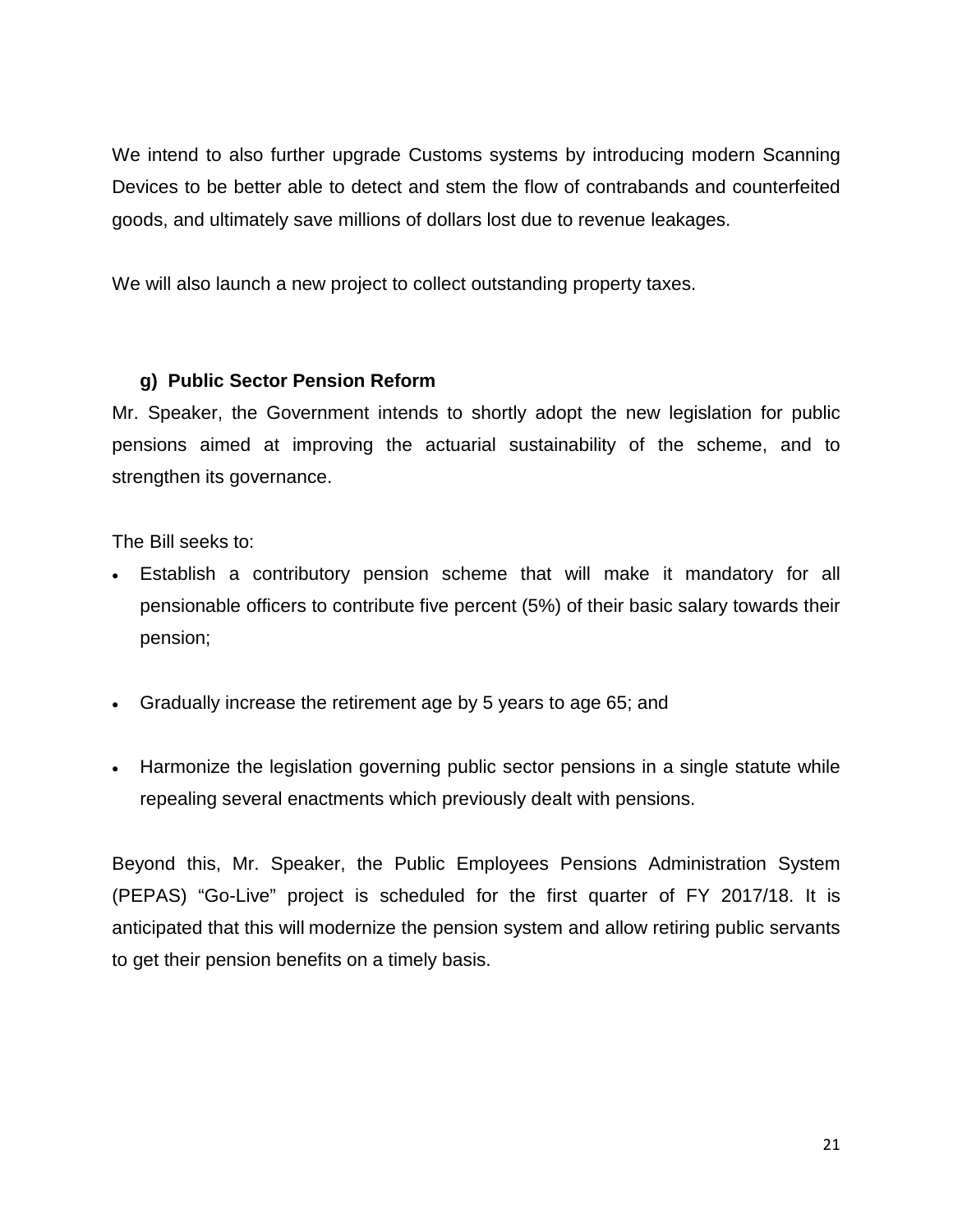We intend to also further upgrade Customs systems by introducing modern Scanning Devices to be better able to detect and stem the flow of contrabands and counterfeited goods, and ultimately save millions of dollars lost due to revenue leakages.

We will also launch a new project to collect outstanding property taxes.

### **g) Public Sector Pension Reform**

Mr. Speaker, the Government intends to shortly adopt the new legislation for public pensions aimed at improving the actuarial sustainability of the scheme, and to strengthen its governance.

The Bill seeks to:

- Establish a contributory pension scheme that will make it mandatory for all pensionable officers to contribute five percent (5%) of their basic salary towards their pension;
- Gradually increase the retirement age by 5 years to age 65; and
- Harmonize the legislation governing public sector pensions in a single statute while repealing several enactments which previously dealt with pensions.

Beyond this, Mr. Speaker, the Public Employees Pensions Administration System (PEPAS) "Go-Live" project is scheduled for the first quarter of FY 2017/18. It is anticipated that this will modernize the pension system and allow retiring public servants to get their pension benefits on a timely basis.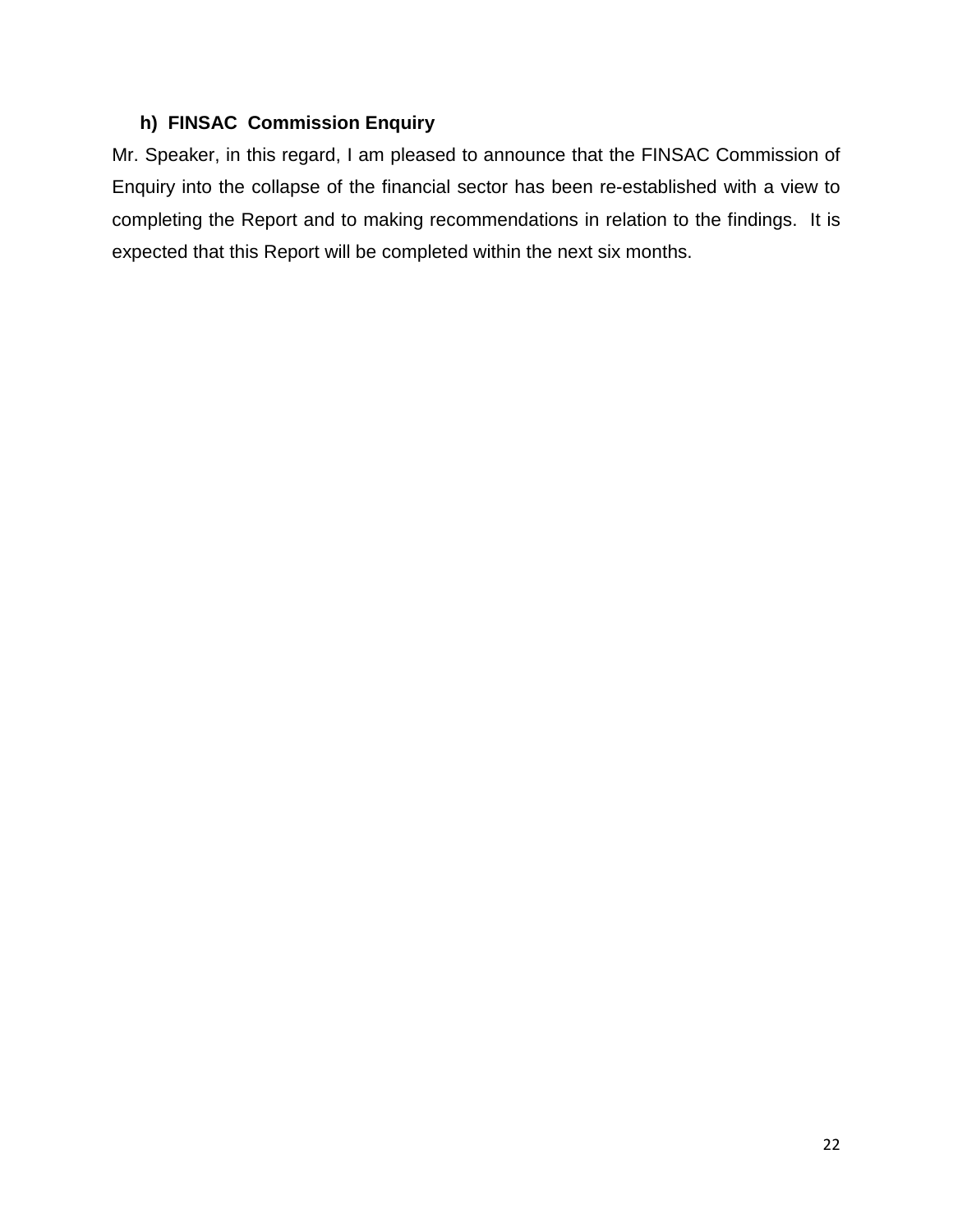### **h) FINSAC Commission Enquiry**

Mr. Speaker, in this regard, I am pleased to announce that the FINSAC Commission of Enquiry into the collapse of the financial sector has been re-established with a view to completing the Report and to making recommendations in relation to the findings. It is expected that this Report will be completed within the next six months.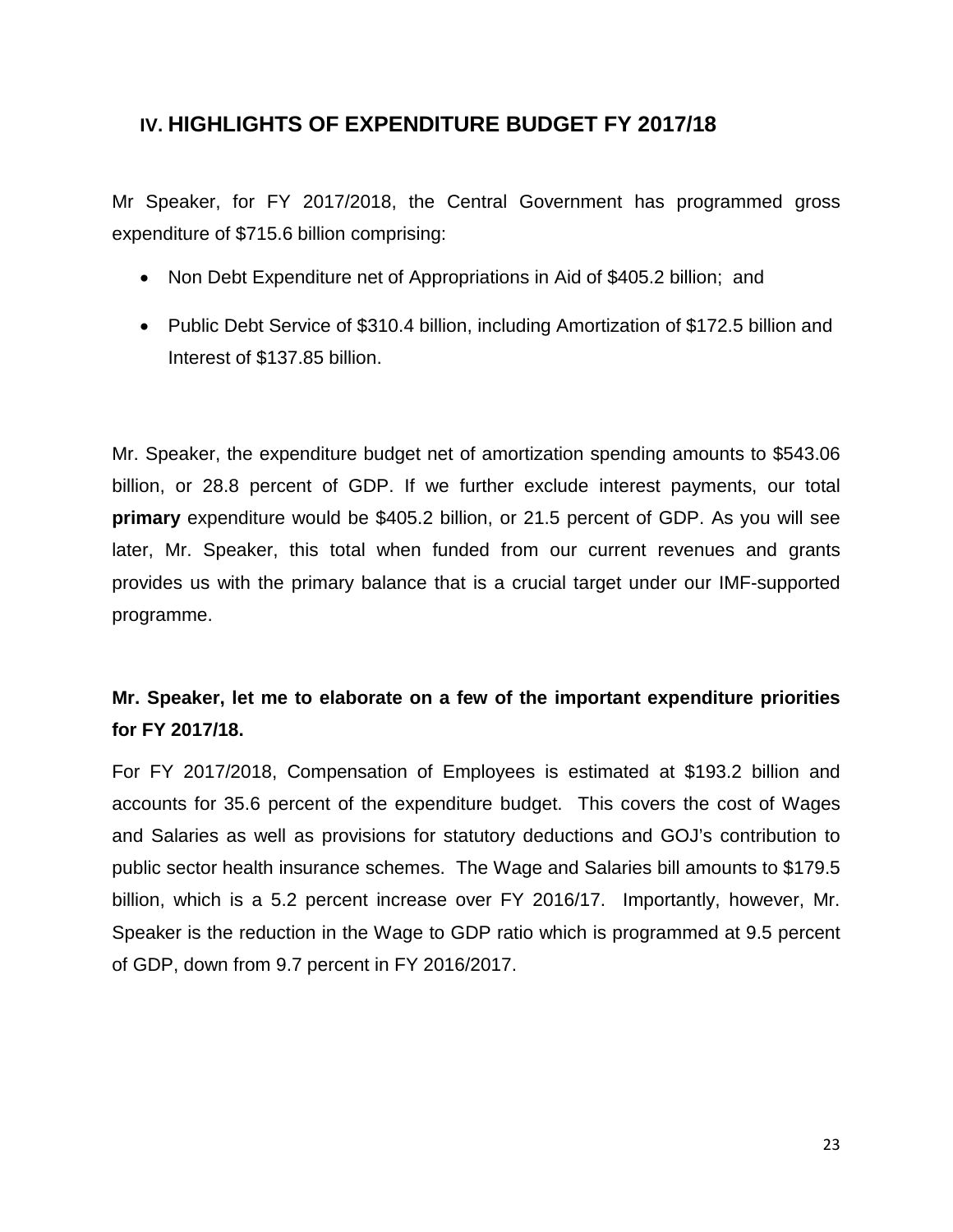### **IV. HIGHLIGHTS OF EXPENDITURE BUDGET FY 2017/18**

Mr Speaker, for FY 2017/2018, the Central Government has programmed gross expenditure of \$715.6 billion comprising:

- Non Debt Expenditure net of Appropriations in Aid of \$405.2 billion; and
- Public Debt Service of \$310.4 billion, including Amortization of \$172.5 billion and Interest of \$137.85 billion.

Mr. Speaker, the expenditure budget net of amortization spending amounts to \$543.06 billion, or 28.8 percent of GDP. If we further exclude interest payments, our total **primary** expenditure would be \$405.2 billion, or 21.5 percent of GDP. As you will see later, Mr. Speaker, this total when funded from our current revenues and grants provides us with the primary balance that is a crucial target under our IMF-supported programme.

### **Mr. Speaker, let me to elaborate on a few of the important expenditure priorities for FY 2017/18.**

For FY 2017/2018, Compensation of Employees is estimated at \$193.2 billion and accounts for 35.6 percent of the expenditure budget. This covers the cost of Wages and Salaries as well as provisions for statutory deductions and GOJ's contribution to public sector health insurance schemes. The Wage and Salaries bill amounts to \$179.5 billion, which is a 5.2 percent increase over FY 2016/17. Importantly, however, Mr. Speaker is the reduction in the Wage to GDP ratio which is programmed at 9.5 percent of GDP, down from 9.7 percent in FY 2016/2017.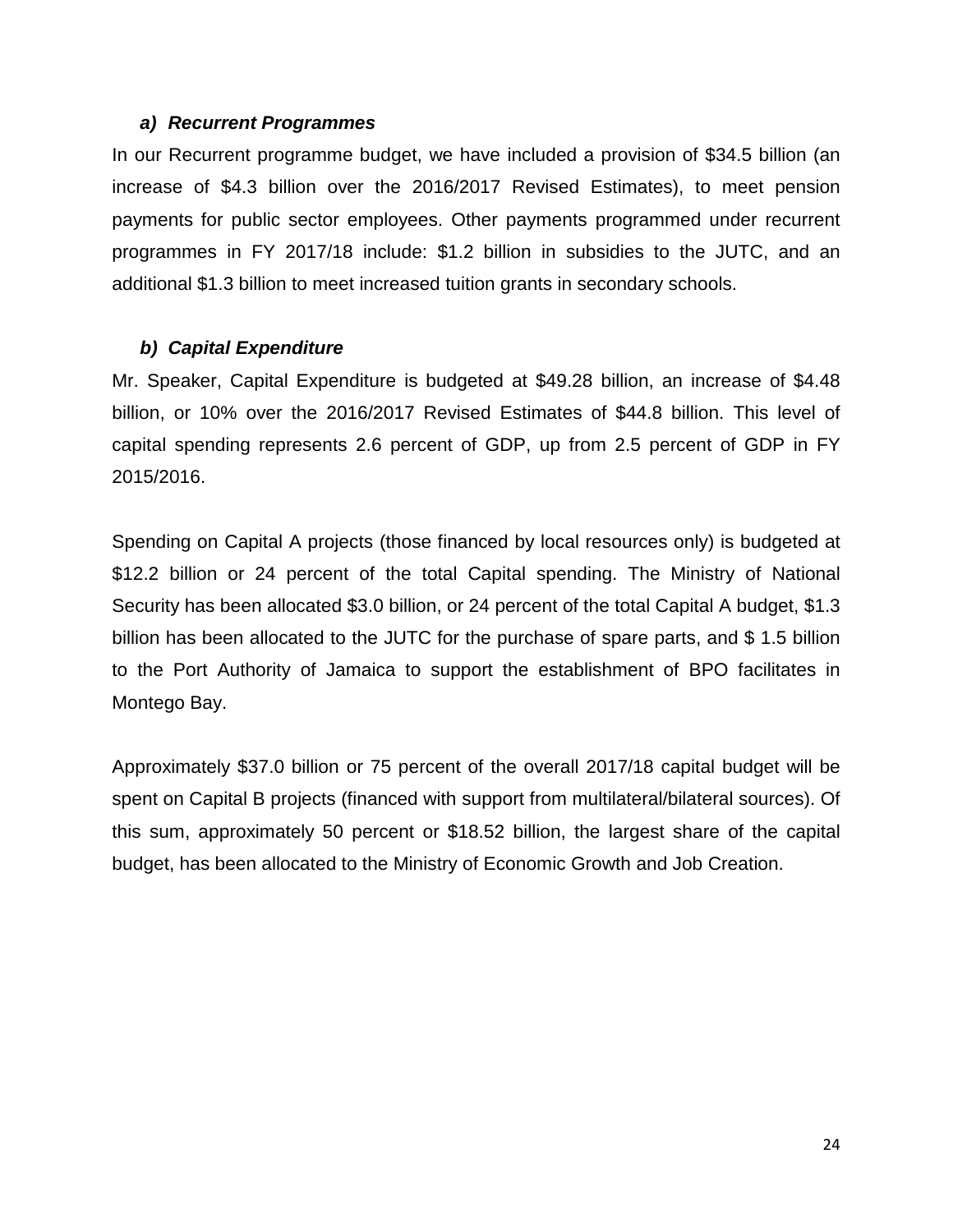#### *a) Recurrent Programmes*

In our Recurrent programme budget, we have included a provision of \$34.5 billion (an increase of \$4.3 billion over the 2016/2017 Revised Estimates), to meet pension payments for public sector employees. Other payments programmed under recurrent programmes in FY 2017/18 include: \$1.2 billion in subsidies to the JUTC, and an additional \$1.3 billion to meet increased tuition grants in secondary schools.

### *b) Capital Expenditure*

Mr. Speaker, Capital Expenditure is budgeted at \$49.28 billion, an increase of \$4.48 billion, or 10% over the 2016/2017 Revised Estimates of \$44.8 billion. This level of capital spending represents 2.6 percent of GDP, up from 2.5 percent of GDP in FY 2015/2016.

Spending on Capital A projects (those financed by local resources only) is budgeted at \$12.2 billion or 24 percent of the total Capital spending. The Ministry of National Security has been allocated \$3.0 billion, or 24 percent of the total Capital A budget, \$1.3 billion has been allocated to the JUTC for the purchase of spare parts, and \$ 1.5 billion to the Port Authority of Jamaica to support the establishment of BPO facilitates in Montego Bay.

Approximately \$37.0 billion or 75 percent of the overall 2017/18 capital budget will be spent on Capital B projects (financed with support from multilateral/bilateral sources). Of this sum, approximately 50 percent or \$18.52 billion, the largest share of the capital budget, has been allocated to the Ministry of Economic Growth and Job Creation.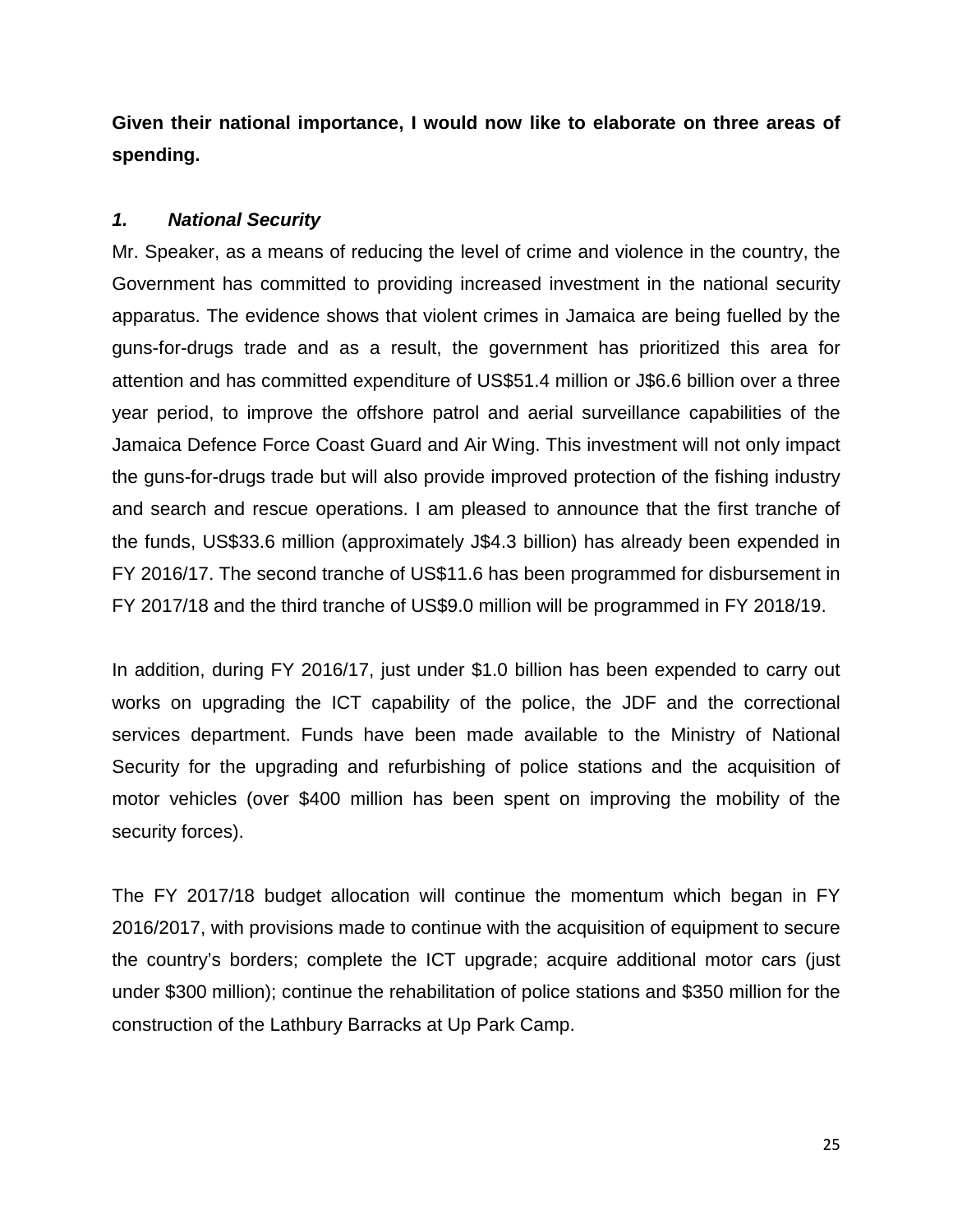**Given their national importance, I would now like to elaborate on three areas of spending.** 

### *1. National Security*

Mr. Speaker, as a means of reducing the level of crime and violence in the country, the Government has committed to providing increased investment in the national security apparatus. The evidence shows that violent crimes in Jamaica are being fuelled by the guns-for-drugs trade and as a result, the government has prioritized this area for attention and has committed expenditure of US\$51.4 million or J\$6.6 billion over a three year period, to improve the offshore patrol and aerial surveillance capabilities of the Jamaica Defence Force Coast Guard and Air Wing. This investment will not only impact the guns-for-drugs trade but will also provide improved protection of the fishing industry and search and rescue operations. I am pleased to announce that the first tranche of the funds, US\$33.6 million (approximately J\$4.3 billion) has already been expended in FY 2016/17. The second tranche of US\$11.6 has been programmed for disbursement in FY 2017/18 and the third tranche of US\$9.0 million will be programmed in FY 2018/19.

In addition, during FY 2016/17, just under \$1.0 billion has been expended to carry out works on upgrading the ICT capability of the police, the JDF and the correctional services department. Funds have been made available to the Ministry of National Security for the upgrading and refurbishing of police stations and the acquisition of motor vehicles (over \$400 million has been spent on improving the mobility of the security forces).

The FY 2017/18 budget allocation will continue the momentum which began in FY 2016/2017, with provisions made to continue with the acquisition of equipment to secure the country's borders; complete the ICT upgrade; acquire additional motor cars (just under \$300 million); continue the rehabilitation of police stations and \$350 million for the construction of the Lathbury Barracks at Up Park Camp.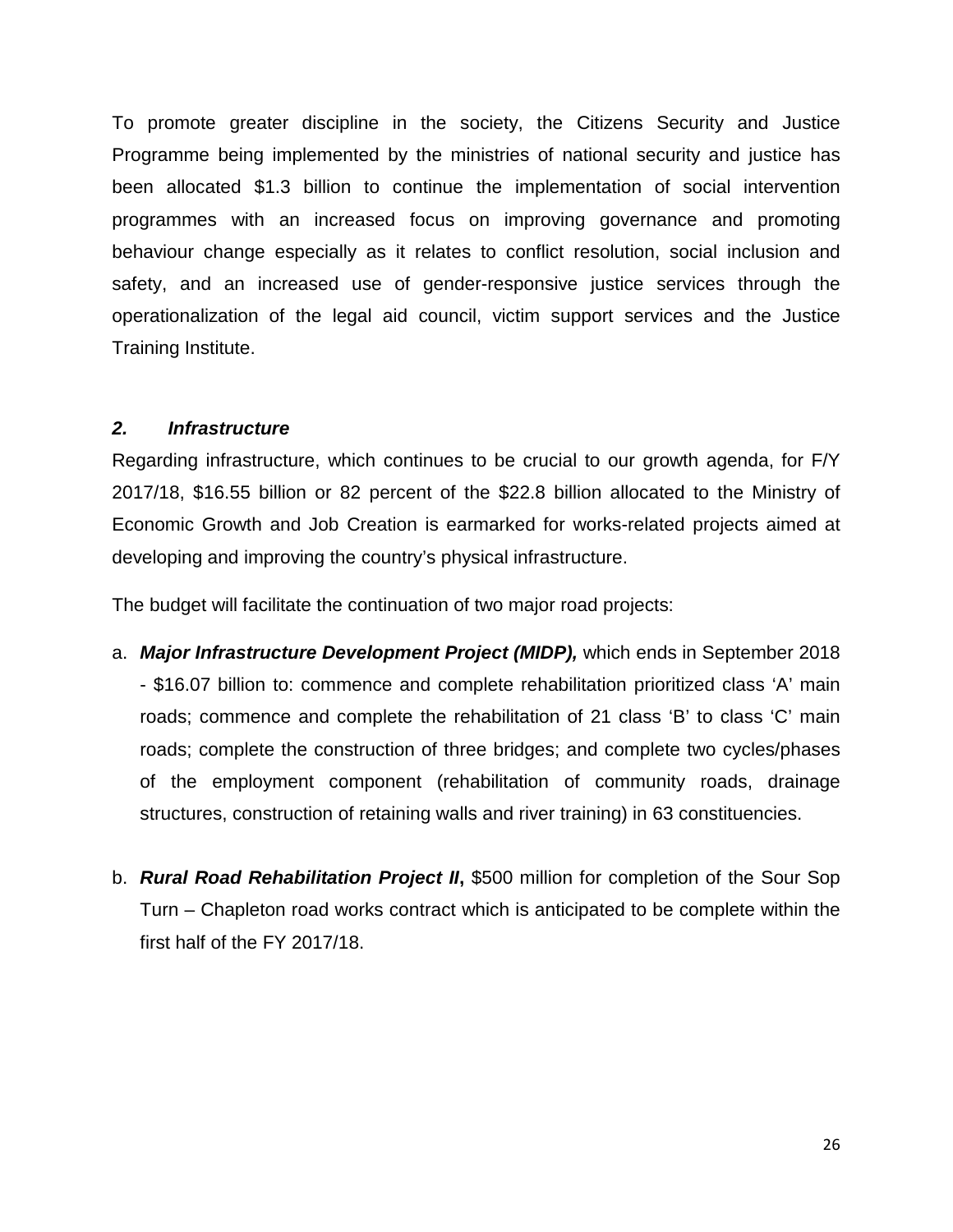To promote greater discipline in the society, the Citizens Security and Justice Programme being implemented by the ministries of national security and justice has been allocated \$1.3 billion to continue the implementation of social intervention programmes with an increased focus on improving governance and promoting behaviour change especially as it relates to conflict resolution, social inclusion and safety, and an increased use of gender-responsive justice services through the operationalization of the legal aid council, victim support services and the Justice Training Institute.

### *2. Infrastructure*

Regarding infrastructure, which continues to be crucial to our growth agenda, for F/Y 2017/18, \$16.55 billion or 82 percent of the \$22.8 billion allocated to the Ministry of Economic Growth and Job Creation is earmarked for works-related projects aimed at developing and improving the country's physical infrastructure.

The budget will facilitate the continuation of two major road projects:

- a. *Major Infrastructure Development Project (MIDP),* which ends in September 2018 - \$16.07 billion to: commence and complete rehabilitation prioritized class 'A' main roads; commence and complete the rehabilitation of 21 class 'B' to class 'C' main roads; complete the construction of three bridges; and complete two cycles/phases of the employment component (rehabilitation of community roads, drainage structures, construction of retaining walls and river training) in 63 constituencies.
- b. *Rural Road Rehabilitation Project II***,** \$500 million for completion of the Sour Sop Turn – Chapleton road works contract which is anticipated to be complete within the first half of the FY 2017/18.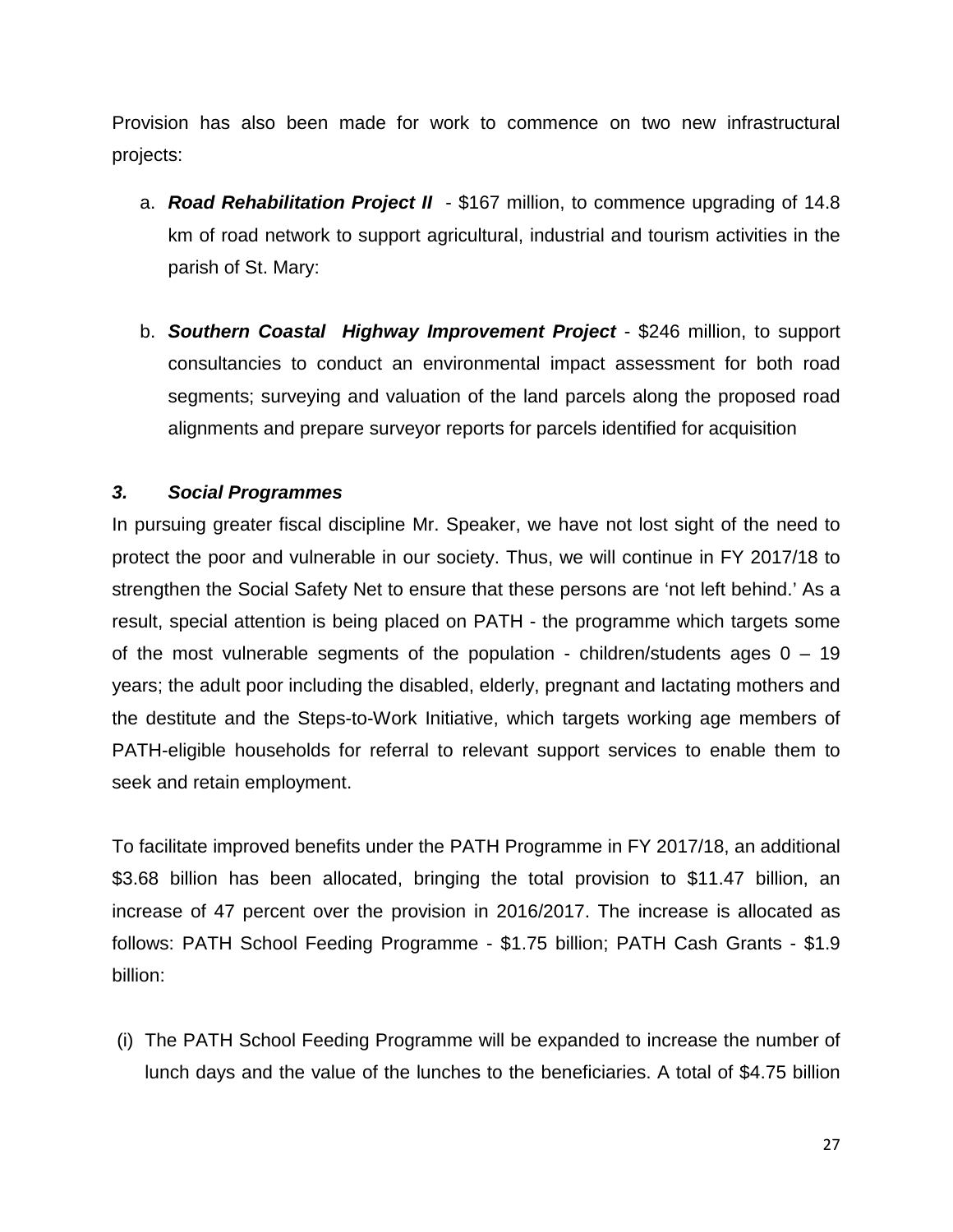Provision has also been made for work to commence on two new infrastructural projects:

- a. *Road Rehabilitation Project II* \$167 million, to commence upgrading of 14.8 km of road network to support agricultural, industrial and tourism activities in the parish of St. Mary:
- b. *Southern Coastal Highway Improvement Project* \$246 million, to support consultancies to conduct an environmental impact assessment for both road segments; surveying and valuation of the land parcels along the proposed road alignments and prepare surveyor reports for parcels identified for acquisition

### *3. Social Programmes*

In pursuing greater fiscal discipline Mr. Speaker, we have not lost sight of the need to protect the poor and vulnerable in our society. Thus, we will continue in FY 2017/18 to strengthen the Social Safety Net to ensure that these persons are 'not left behind.' As a result, special attention is being placed on PATH - the programme which targets some of the most vulnerable segments of the population - children/students ages  $0 - 19$ years; the adult poor including the disabled, elderly, pregnant and lactating mothers and the destitute and the Steps-to-Work Initiative, which targets working age members of PATH-eligible households for referral to relevant support services to enable them to seek and retain employment.

To facilitate improved benefits under the PATH Programme in FY 2017/18, an additional \$3.68 billion has been allocated, bringing the total provision to \$11.47 billion, an increase of 47 percent over the provision in 2016/2017. The increase is allocated as follows: PATH School Feeding Programme - \$1.75 billion; PATH Cash Grants - \$1.9 billion:

(i) The PATH School Feeding Programme will be expanded to increase the number of lunch days and the value of the lunches to the beneficiaries. A total of \$4.75 billion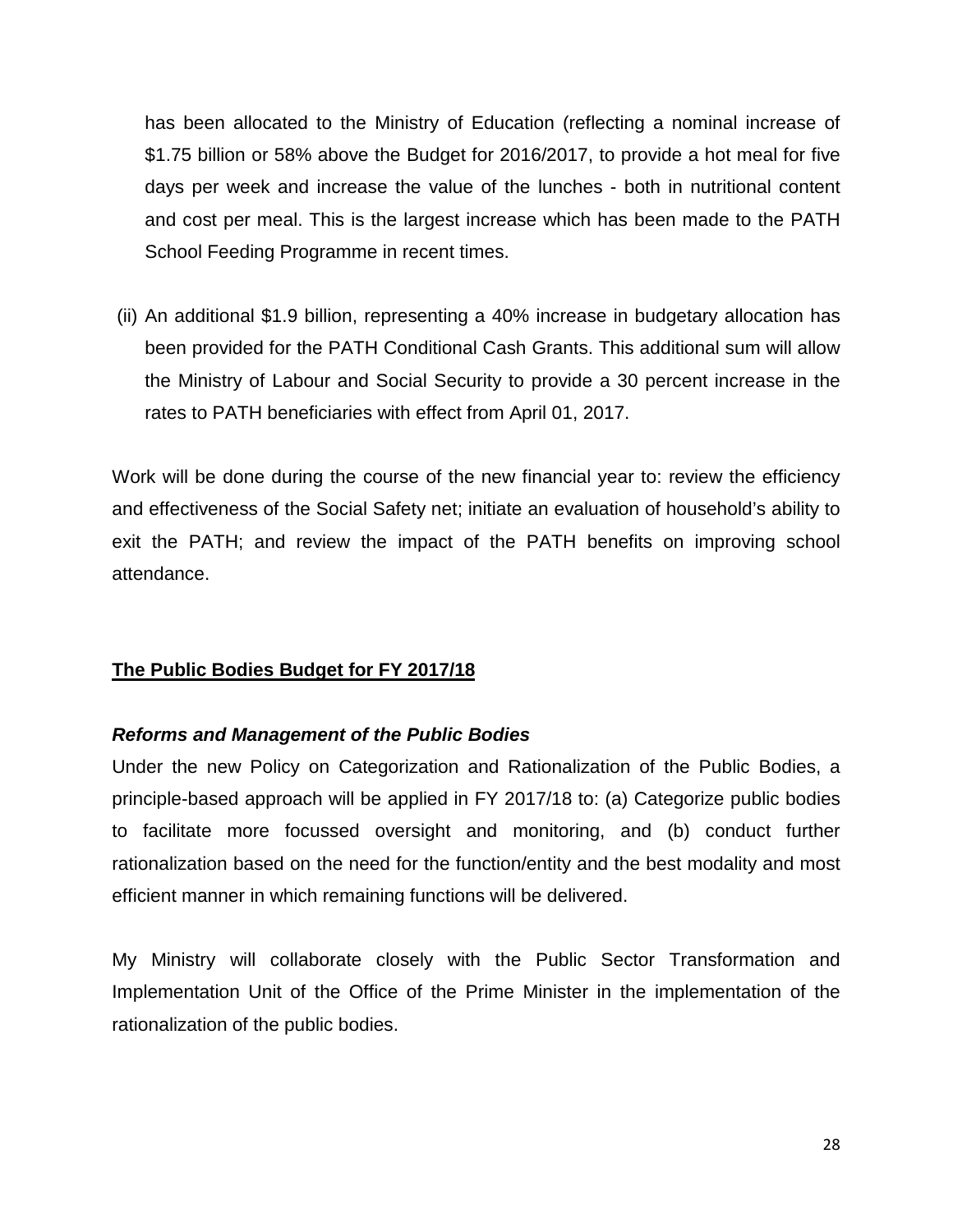has been allocated to the Ministry of Education (reflecting a nominal increase of \$1.75 billion or 58% above the Budget for 2016/2017, to provide a hot meal for five days per week and increase the value of the lunches - both in nutritional content and cost per meal. This is the largest increase which has been made to the PATH School Feeding Programme in recent times.

(ii) An additional \$1.9 billion, representing a 40% increase in budgetary allocation has been provided for the PATH Conditional Cash Grants. This additional sum will allow the Ministry of Labour and Social Security to provide a 30 percent increase in the rates to PATH beneficiaries with effect from April 01, 2017.

Work will be done during the course of the new financial year to: review the efficiency and effectiveness of the Social Safety net; initiate an evaluation of household's ability to exit the PATH; and review the impact of the PATH benefits on improving school attendance.

### **The Public Bodies Budget for FY 2017/18**

### *Reforms and Management of the Public Bodies*

Under the new Policy on Categorization and Rationalization of the Public Bodies, a principle-based approach will be applied in FY 2017/18 to: (a) Categorize public bodies to facilitate more focussed oversight and monitoring, and (b) conduct further rationalization based on the need for the function/entity and the best modality and most efficient manner in which remaining functions will be delivered.

My Ministry will collaborate closely with the Public Sector Transformation and Implementation Unit of the Office of the Prime Minister in the implementation of the rationalization of the public bodies.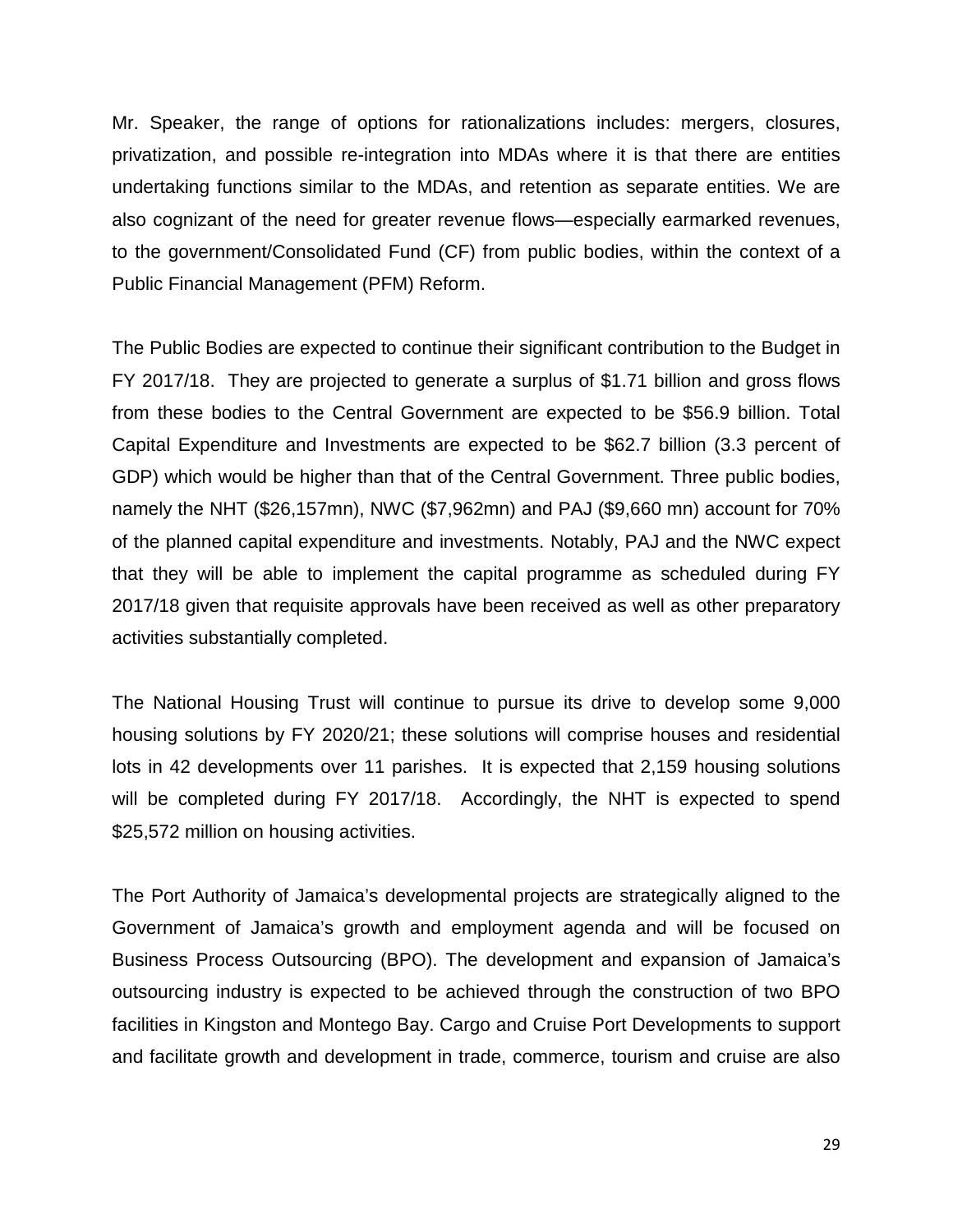Mr. Speaker, the range of options for rationalizations includes: mergers, closures, privatization, and possible re-integration into MDAs where it is that there are entities undertaking functions similar to the MDAs, and retention as separate entities. We are also cognizant of the need for greater revenue flows—especially earmarked revenues, to the government/Consolidated Fund (CF) from public bodies, within the context of a Public Financial Management (PFM) Reform.

The Public Bodies are expected to continue their significant contribution to the Budget in FY 2017/18. They are projected to generate a surplus of \$1.71 billion and gross flows from these bodies to the Central Government are expected to be \$56.9 billion. Total Capital Expenditure and Investments are expected to be \$62.7 billion (3.3 percent of GDP) which would be higher than that of the Central Government. Three public bodies, namely the NHT (\$26,157mn), NWC (\$7,962mn) and PAJ (\$9,660 mn) account for 70% of the planned capital expenditure and investments. Notably, PAJ and the NWC expect that they will be able to implement the capital programme as scheduled during FY 2017/18 given that requisite approvals have been received as well as other preparatory activities substantially completed.

The National Housing Trust will continue to pursue its drive to develop some 9,000 housing solutions by FY 2020/21; these solutions will comprise houses and residential lots in 42 developments over 11 parishes. It is expected that 2,159 housing solutions will be completed during FY 2017/18. Accordingly, the NHT is expected to spend \$25,572 million on housing activities.

The Port Authority of Jamaica's developmental projects are strategically aligned to the Government of Jamaica's growth and employment agenda and will be focused on Business Process Outsourcing (BPO). The development and expansion of Jamaica's outsourcing industry is expected to be achieved through the construction of two BPO facilities in Kingston and Montego Bay. Cargo and Cruise Port Developments to support and facilitate growth and development in trade, commerce, tourism and cruise are also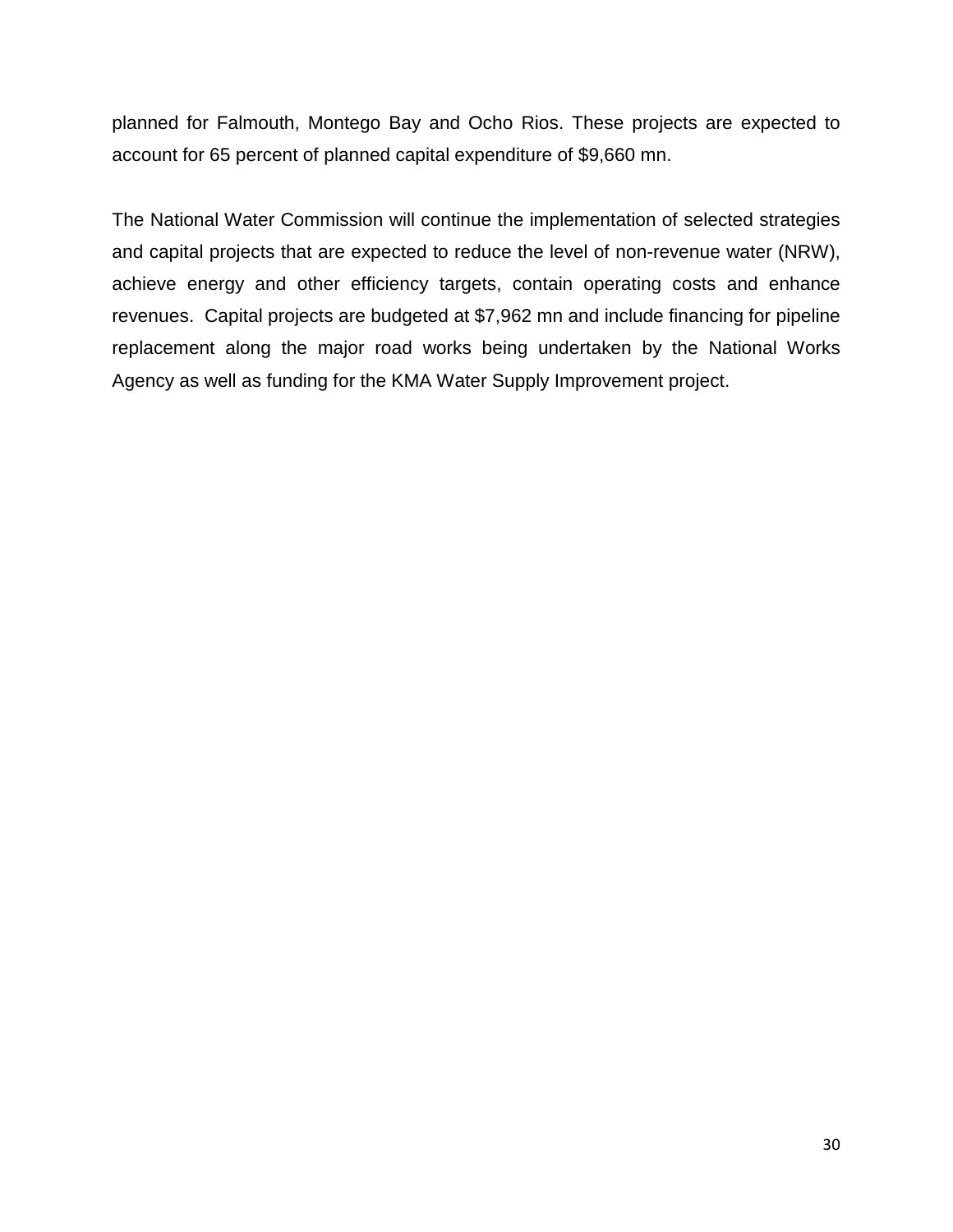planned for Falmouth, Montego Bay and Ocho Rios. These projects are expected to account for 65 percent of planned capital expenditure of \$9,660 mn.

The National Water Commission will continue the implementation of selected strategies and capital projects that are expected to reduce the level of non-revenue water (NRW), achieve energy and other efficiency targets, contain operating costs and enhance revenues. Capital projects are budgeted at \$7,962 mn and include financing for pipeline replacement along the major road works being undertaken by the National Works Agency as well as funding for the KMA Water Supply Improvement project.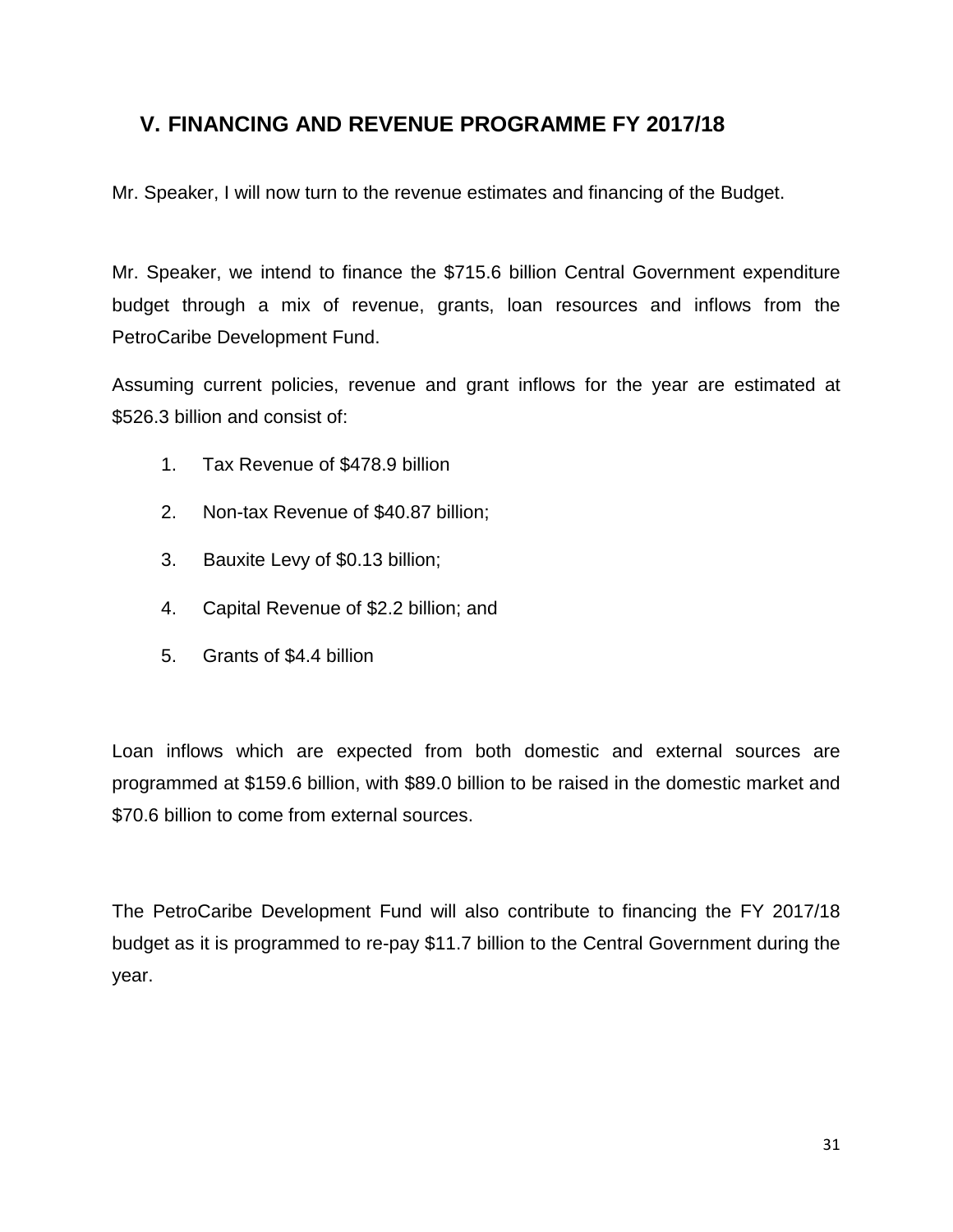### **V. FINANCING AND REVENUE PROGRAMME FY 2017/18**

Mr. Speaker, I will now turn to the revenue estimates and financing of the Budget.

Mr. Speaker, we intend to finance the \$715.6 billion Central Government expenditure budget through a mix of revenue, grants, loan resources and inflows from the PetroCaribe Development Fund.

Assuming current policies, revenue and grant inflows for the year are estimated at \$526.3 billion and consist of:

- 1. Tax Revenue of \$478.9 billion
- 2. Non-tax Revenue of \$40.87 billion;
- 3. Bauxite Levy of \$0.13 billion;
- 4. Capital Revenue of \$2.2 billion; and
- 5. Grants of \$4.4 billion

Loan inflows which are expected from both domestic and external sources are programmed at \$159.6 billion, with \$89.0 billion to be raised in the domestic market and \$70.6 billion to come from external sources.

The PetroCaribe Development Fund will also contribute to financing the FY 2017/18 budget as it is programmed to re-pay \$11.7 billion to the Central Government during the year.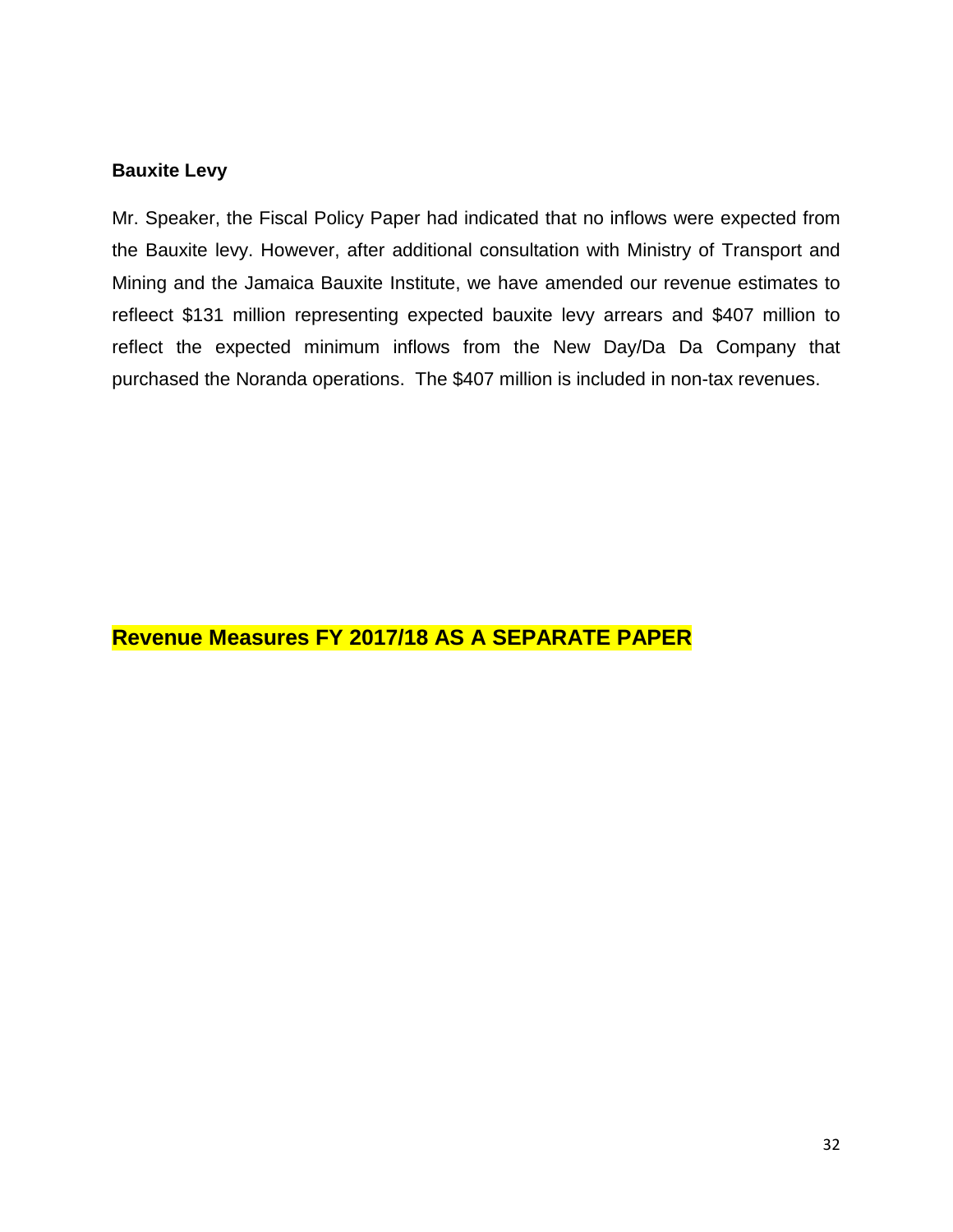#### **Bauxite Levy**

Mr. Speaker, the Fiscal Policy Paper had indicated that no inflows were expected from the Bauxite levy. However, after additional consultation with Ministry of Transport and Mining and the Jamaica Bauxite Institute, we have amended our revenue estimates to refleect \$131 million representing expected bauxite levy arrears and \$407 million to reflect the expected minimum inflows from the New Day/Da Da Company that purchased the Noranda operations. The \$407 million is included in non-tax revenues.

### **Revenue Measures FY 2017/18 AS A SEPARATE PAPER**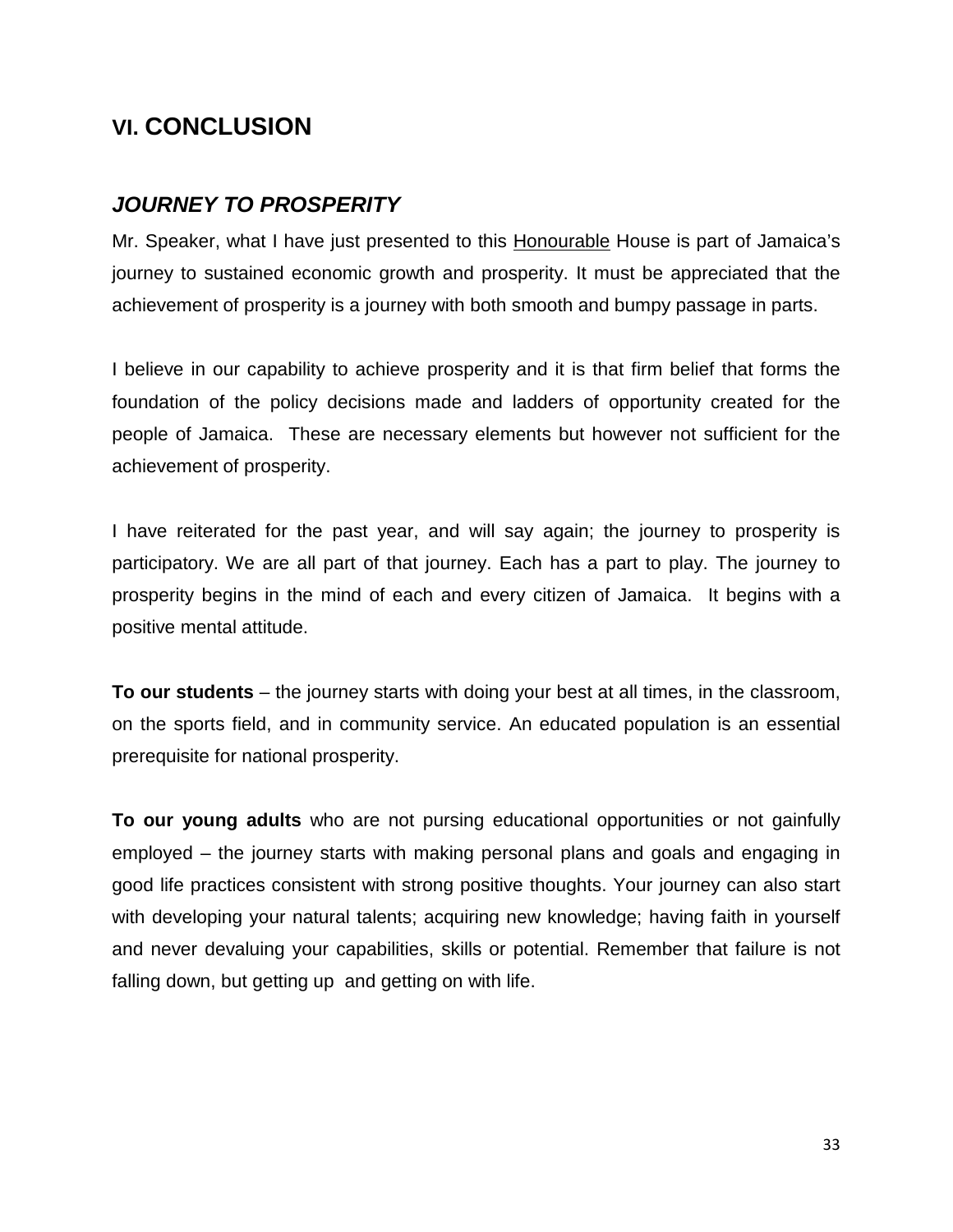# **VI. CONCLUSION**

### *JOURNEY TO PROSPERITY*

Mr. Speaker, what I have just presented to this Honourable House is part of Jamaica's journey to sustained economic growth and prosperity. It must be appreciated that the achievement of prosperity is a journey with both smooth and bumpy passage in parts.

I believe in our capability to achieve prosperity and it is that firm belief that forms the foundation of the policy decisions made and ladders of opportunity created for the people of Jamaica. These are necessary elements but however not sufficient for the achievement of prosperity.

I have reiterated for the past year, and will say again; the journey to prosperity is participatory. We are all part of that journey. Each has a part to play. The journey to prosperity begins in the mind of each and every citizen of Jamaica. It begins with a positive mental attitude.

**To our students** – the journey starts with doing your best at all times, in the classroom, on the sports field, and in community service. An educated population is an essential prerequisite for national prosperity.

**To our young adults** who are not pursing educational opportunities or not gainfully employed – the journey starts with making personal plans and goals and engaging in good life practices consistent with strong positive thoughts. Your journey can also start with developing your natural talents; acquiring new knowledge; having faith in yourself and never devaluing your capabilities, skills or potential. Remember that failure is not falling down, but getting up and getting on with life.